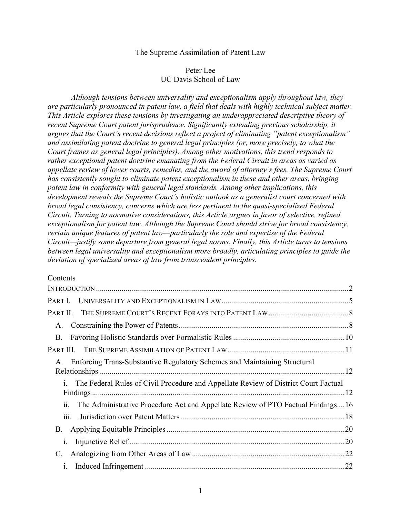### The Supreme Assimilation of Patent Law

## Peter Lee UC Davis School of Law

*Although tensions between universality and exceptionalism apply throughout law, they are particularly pronounced in patent law, a field that deals with highly technical subject matter. This Article explores these tensions by investigating an underappreciated descriptive theory of recent Supreme Court patent jurisprudence. Significantly extending previous scholarship, it argues that the Court's recent decisions reflect a project of eliminating "patent exceptionalism" and assimilating patent doctrine to general legal principles (or, more precisely, to what the Court frames as general legal principles). Among other motivations, this trend responds to rather exceptional patent doctrine emanating from the Federal Circuit in areas as varied as appellate review of lower courts, remedies, and the award of attorney's fees. The Supreme Court has consistently sought to eliminate patent exceptionalism in these and other areas, bringing patent law in conformity with general legal standards. Among other implications, this development reveals the Supreme Court's holistic outlook as a generalist court concerned with broad legal consistency, concerns which are less pertinent to the quasi-specialized Federal Circuit. Turning to normative considerations, this Article argues in favor of selective, refined exceptionalism for patent law. Although the Supreme Court should strive for broad consistency, certain unique features of patent law—particularly the role and expertise of the Federal Circuit—justify some departure from general legal norms. Finally, this Article turns to tensions between legal universality and exceptionalism more broadly, articulating principles to guide the deviation of specialized areas of law from transcendent principles.* 

### Contents

|                                                                                                         | $\mathcal{L}$ |
|---------------------------------------------------------------------------------------------------------|---------------|
|                                                                                                         |               |
|                                                                                                         |               |
| A.                                                                                                      |               |
| <b>B</b> .                                                                                              |               |
|                                                                                                         |               |
| Enforcing Trans-Substantive Regulatory Schemes and Maintaining Structural<br>$A_{-}$                    |               |
| The Federal Rules of Civil Procedure and Appellate Review of District Court Factual<br>$i_{-}$          |               |
| $\dddot{\mathbf{i}}$<br>The Administrative Procedure Act and Appellate Review of PTO Factual Findings16 |               |
| 111.                                                                                                    |               |
| B.                                                                                                      |               |
| 1.                                                                                                      |               |
|                                                                                                         | .22           |
| $\mathbf{1}$ .                                                                                          | .22           |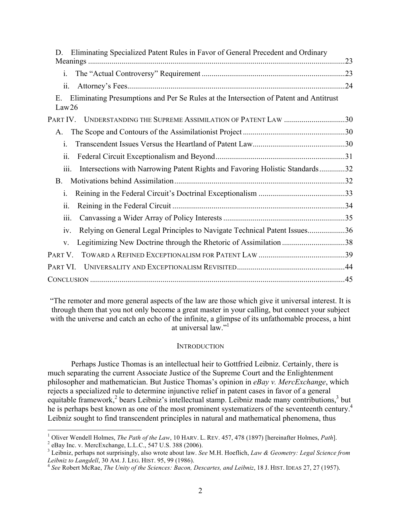| Eliminating Specialized Patent Rules in Favor of General Precedent and Ordinary<br>D                 |  |
|------------------------------------------------------------------------------------------------------|--|
| $\mathbf{i}$ .                                                                                       |  |
| ii.                                                                                                  |  |
| Eliminating Presumptions and Per Se Rules at the Intersection of Patent and Antitrust<br>Ε.<br>Law26 |  |
| PART IV. UNDERSTANDING THE SUPREME ASSIMILATION OF PATENT LAW 30                                     |  |
| A.                                                                                                   |  |
| $\mathbf{i}$ .                                                                                       |  |
| ii.                                                                                                  |  |
| Intersections with Narrowing Patent Rights and Favoring Holistic Standards32<br>iii.                 |  |
| B.                                                                                                   |  |
| $\mathbf{i}$ .                                                                                       |  |
| ii.                                                                                                  |  |
| 111.                                                                                                 |  |
| Relying on General Legal Principles to Navigate Technical Patent Issues36<br>1V.                     |  |
| Legitimizing New Doctrine through the Rhetoric of Assimilation 38<br>V.                              |  |
| PART V.                                                                                              |  |
| PART VI.                                                                                             |  |
|                                                                                                      |  |

"The remoter and more general aspects of the law are those which give it universal interest. It is through them that you not only become a great master in your calling, but connect your subject with the universe and catch an echo of the infinite, a glimpse of its unfathomable process, a hint at universal law."<sup>1</sup>

### **INTRODUCTION**

Perhaps Justice Thomas is an intellectual heir to Gottfried Leibniz. Certainly, there is much separating the current Associate Justice of the Supreme Court and the Enlightenment philosopher and mathematician. But Justice Thomas's opinion in *eBay v. MercExchange*, which rejects a specialized rule to determine injunctive relief in patent cases in favor of a general equitable framework,<sup>2</sup> bears Leibniz's intellectual stamp. Leibniz made many contributions,<sup>3</sup> but he is perhaps best known as one of the most prominent systematizers of the seventeenth century.<sup>4</sup> Leibniz sought to find transcendent principles in natural and mathematical phenomena, thus

<sup>&</sup>lt;sup>1</sup> Oliver Wendell Holmes, *The Path of the Law*, 10 HARV. L. REV. 457, 478 (1897) [hereinafter Holmes, *Path*].<br><sup>2</sup> eBay Inc. v. MercExchange, L.L.C., 547 U.S. 388 (2006).<br><sup>3</sup> Leibniz, perhaps not surprisingly, also wrot

<sup>&</sup>lt;sup>4</sup> See Robert McRae, *The Unity of the Sciences: Bacon, Descartes, and Leibniz*, 18 J. HIST. IDEAS 27, 27 (1957).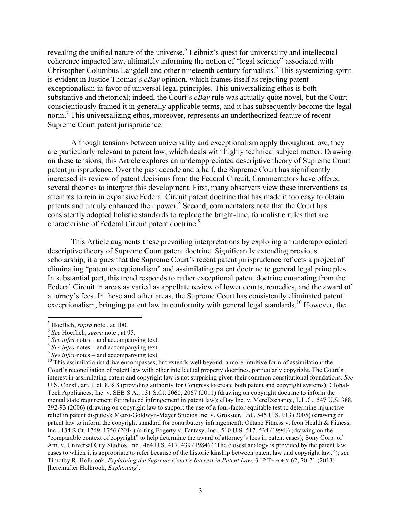revealing the unified nature of the universe.<sup>5</sup> Leibniz's quest for universality and intellectual coherence impacted law, ultimately informing the notion of "legal science" associated with Christopher Columbus Langdell and other nineteenth century formalists.<sup>6</sup> This systemizing spirit is evident in Justice Thomas's *eBay* opinion, which frames itself as rejecting patent exceptionalism in favor of universal legal principles. This universalizing ethos is both substantive and rhetorical; indeed, the Court's *eBay* rule was actually quite novel, but the Court conscientiously framed it in generally applicable terms, and it has subsequently become the legal norm.7 This universalizing ethos, moreover, represents an undertheorized feature of recent Supreme Court patent jurisprudence.

Although tensions between universality and exceptionalism apply throughout law, they are particularly relevant to patent law, which deals with highly technical subject matter. Drawing on these tensions, this Article explores an underappreciated descriptive theory of Supreme Court patent jurisprudence. Over the past decade and a half, the Supreme Court has significantly increased its review of patent decisions from the Federal Circuit. Commentators have offered several theories to interpret this development. First, many observers view these interventions as attempts to rein in expansive Federal Circuit patent doctrine that has made it too easy to obtain patents and unduly enhanced their power.<sup>8</sup> Second, commentators note that the Court has consistently adopted holistic standards to replace the bright-line, formalistic rules that are characteristic of Federal Circuit patent doctrine.<sup>9</sup>

This Article augments these prevailing interpretations by exploring an underappreciated descriptive theory of Supreme Court patent doctrine. Significantly extending previous scholarship, it argues that the Supreme Court's recent patent jurisprudence reflects a project of eliminating "patent exceptionalism" and assimilating patent doctrine to general legal principles. In substantial part, this trend responds to rather exceptional patent doctrine emanating from the Federal Circuit in areas as varied as appellate review of lower courts, remedies, and the award of attorney's fees. In these and other areas, the Supreme Court has consistently eliminated patent exceptionalism, bringing patent law in conformity with general legal standards.<sup>10</sup> However, the

<sup>&</sup>lt;sup>5</sup> Hoeflich, *supra* note, at 100.<br>
<sup>6</sup> See Hoeflich, *supra* note, at 95.<br>
<sup>7</sup> See infra notes – and accompanying text.<br>
<sup>8</sup> See infra notes – and accompanying text.<br>
<sup>9</sup> See infra notes – and accompanying text.<br>
<sup>10</sup> T Court's reconciliation of patent law with other intellectual property doctrines, particularly copyright. The Court's interest in assimilating patent and copyright law is not surprising given their common constitutional foundations. *See* U.S. Const., art. I, cl. 8, § 8 (providing authority for Congress to create both patent and copyright systems); Global-Tech Appliances, Inc. v. SEB S.A., 131 S.Ct. 2060, 2067 (2011) (drawing on copyright doctrine to inform the mental state requirement for induced infringement in patent law); eBay Inc. v. MercExchange, L.L.C., 547 U.S. 388, 392-93 (2006) (drawing on copyright law to support the use of a four-factor equitable test to determine injunctive relief in patent disputes); Metro-Goldwyn-Mayer Studios Inc. v. Grokster, Ltd., 545 U.S. 913 (2005) (drawing on patent law to inform the copyright standard for contributory infringement); Octane Fitness v. Icon Health & Fitness, Inc., 134 S.Ct. 1749, 1756 (2014) (citing Fogerty v. Fantasy, Inc., 510 U.S. 517, 534 (1994)) (drawing on the "comparable context of copyright" to help determine the award of attorney's fees in patent cases); Sony Corp. of Am. v. Universal City Studios, Inc., 464 U.S. 417, 439 (1984) ("The closest analogy is provided by the patent law cases to which it is appropriate to refer because of the historic kinship between patent law and copyright law."); *see* Timothy R. Holbrook, *Explaining the Supreme Court's Interest in Patent Law*, 3 IP THEORY 62, 70-71 (2013) [hereinafter Holbrook, *Explaining*].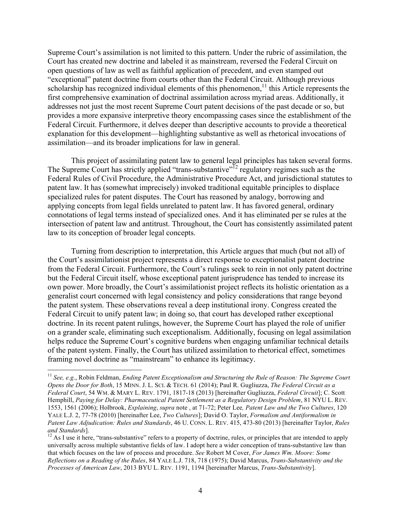Supreme Court's assimilation is not limited to this pattern. Under the rubric of assimilation, the Court has created new doctrine and labeled it as mainstream, reversed the Federal Circuit on open questions of law as well as faithful application of precedent, and even stamped out "exceptional" patent doctrine from courts other than the Federal Circuit. Although previous scholarship has recognized individual elements of this phenomenon,<sup>11</sup> this Article represents the first comprehensive examination of doctrinal assimilation across myriad areas. Additionally, it addresses not just the most recent Supreme Court patent decisions of the past decade or so, but provides a more expansive interpretive theory encompassing cases since the establishment of the Federal Circuit. Furthermore, it delves deeper than descriptive accounts to provide a theoretical explanation for this development—highlighting substantive as well as rhetorical invocations of assimilation—and its broader implications for law in general.

This project of assimilating patent law to general legal principles has taken several forms. The Supreme Court has strictly applied "trans-substantive"<sup>12</sup> regulatory regimes such as the Federal Rules of Civil Procedure, the Administrative Procedure Act, and jurisdictional statutes to patent law. It has (somewhat imprecisely) invoked traditional equitable principles to displace specialized rules for patent disputes. The Court has reasoned by analogy, borrowing and applying concepts from legal fields unrelated to patent law. It has favored general, ordinary connotations of legal terms instead of specialized ones. And it has eliminated per se rules at the intersection of patent law and antitrust. Throughout, the Court has consistently assimilated patent law to its conception of broader legal concepts.

Turning from description to interpretation, this Article argues that much (but not all) of the Court's assimilationist project represents a direct response to exceptionalist patent doctrine from the Federal Circuit. Furthermore, the Court's rulings seek to rein in not only patent doctrine but the Federal Circuit itself, whose exceptional patent jurisprudence has tended to increase its own power. More broadly, the Court's assimilationist project reflects its holistic orientation as a generalist court concerned with legal consistency and policy considerations that range beyond the patent system. These observations reveal a deep institutional irony. Congress created the Federal Circuit to unify patent law; in doing so, that court has developed rather exceptional doctrine. In its recent patent rulings, however, the Supreme Court has played the role of unifier on a grander scale, eliminating such exceptionalism. Additionally, focusing on legal assimilation helps reduce the Supreme Court's cognitive burdens when engaging unfamiliar technical details of the patent system. Finally, the Court has utilized assimilation to rhetorical effect, sometimes framing novel doctrine as "mainstream" to enhance its legitimacy.

 <sup>11</sup> *See, e.g*., Robin Feldman, *Ending Patent Exceptionalism and Structuring the Rule of Reason: The Supreme Court Opens the Door for Both*, 15 MINN. J. L. SCI. & TECH. 61 (2014); Paul R. Gugliuzza, *The Federal Circuit as a Federal Court*, 54 WM. & MARY L. REV. 1791, 1817-18 (2013) [hereinafter Gugliuzza, *Federal Circuit*]; C. Scott Hemphill, *Paying for Delay: Pharmaceutical Patent Settlement as a Regulatory Design Problem*, 81 NYU L. REV. 1553, 1561 (2006); Holbrook, *Explaining*, *supra* note , at 71-72; Peter Lee*, Patent Law and the Two Cultures*, 120 YALE L.J. 2, 77-78 (2010) [hereinafter Lee, *Two Cultures*]; David O. Taylor, *Formalism and Antiformalism in Patent Law Adjudication: Rules and Standards*, 46 U. CONN. L. REV. 415, 473-80 (2013) [hereinafter Taylor, *Rules and Standards*].<br><sup>12</sup> As I use it here, "trans-substantive" refers to a property of doctrine, rules, or principles that are intended to apply

universally across multiple substantive fields of law. I adopt here a wider conception of trans-substantive law than that which focuses on the law of process and procedure. *See* Robert M Cover, *For James Wm. Moore: Some Reflections on a Reading of the Rules*, 84 YALE L.J. 718, 718 (1975); David Marcus, *Trans-Substantivity and the Processes of American Law*, 2013 BYU L. REV. 1191, 1194 [hereinafter Marcus, *Trans-Substantivity*].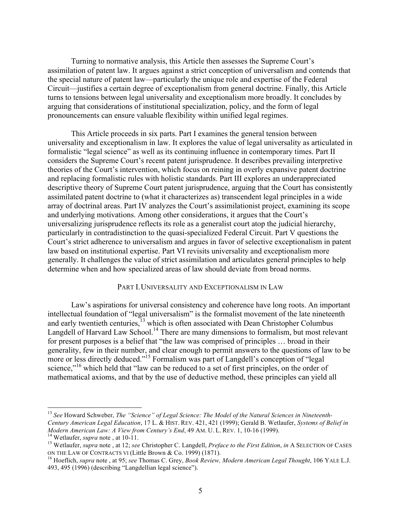Turning to normative analysis, this Article then assesses the Supreme Court's assimilation of patent law. It argues against a strict conception of universalism and contends that the special nature of patent law—particularly the unique role and expertise of the Federal Circuit—justifies a certain degree of exceptionalism from general doctrine. Finally, this Article turns to tensions between legal universality and exceptionalism more broadly. It concludes by arguing that considerations of institutional specialization, policy, and the form of legal pronouncements can ensure valuable flexibility within unified legal regimes.

This Article proceeds in six parts. Part I examines the general tension between universality and exceptionalism in law. It explores the value of legal universality as articulated in formalistic "legal science" as well as its continuing influence in contemporary times. Part II considers the Supreme Court's recent patent jurisprudence. It describes prevailing interpretive theories of the Court's intervention, which focus on reining in overly expansive patent doctrine and replacing formalistic rules with holistic standards. Part III explores an underappreciated descriptive theory of Supreme Court patent jurisprudence, arguing that the Court has consistently assimilated patent doctrine to (what it characterizes as) transcendent legal principles in a wide array of doctrinal areas. Part IV analyzes the Court's assimilationist project, examining its scope and underlying motivations. Among other considerations, it argues that the Court's universalizing jurisprudence reflects its role as a generalist court atop the judicial hierarchy, particularly in contradistinction to the quasi-specialized Federal Circuit. Part V questions the Court's strict adherence to universalism and argues in favor of selective exceptionalism in patent law based on institutional expertise. Part VI revisits universality and exceptionalism more generally. It challenges the value of strict assimilation and articulates general principles to help determine when and how specialized areas of law should deviate from broad norms.

#### PART I.UNIVERSALITY AND EXCEPTIONALISM IN LAW

Law's aspirations for universal consistency and coherence have long roots. An important intellectual foundation of "legal universalism" is the formalist movement of the late nineteenth and early twentieth centuries,<sup>13</sup> which is often associated with Dean Christopher Columbus Langdell of Harvard Law School.<sup>14</sup> There are many dimensions to formalism, but most relevant for present purposes is a belief that "the law was comprised of principles … broad in their generality, few in their number, and clear enough to permit answers to the questions of law to be more or less directly deduced."<sup>15</sup> Formalism was part of Langdell's conception of "legal" science,"<sup>16</sup> which held that "law can be reduced to a set of first principles, on the order of mathematical axioms, and that by the use of deductive method, these principles can yield all

 <sup>13</sup> *See* Howard Schweber, *The "Science" of Legal Science: The Model of the Natural Sciences in Nineteenth-Century American Legal Education*, 17 L. & HIST. REV. 421, 421 (1999); Gerald B. Wetlaufer, *Systems of Belief in* 

*Modern American Law: A View from Century's End*, 49 AM. U. L. REV. 1, 10-16 (1999).<br><sup>14</sup> Wetlaufer, *supra* note , at 10-11.<br><sup>15</sup> Wetlaufer, *supra* note , at 12; *see* Christopher C. Langdell, *Preface to the First Editi* 

<sup>&</sup>lt;sup>16</sup> Hoeflich, *supra* note, at 95; *see* Thomas C. Grey, *Book Review, Modern American Legal Thought*, 106 YALE L.J. 493, 495 (1996) (describing "Langdellian legal science").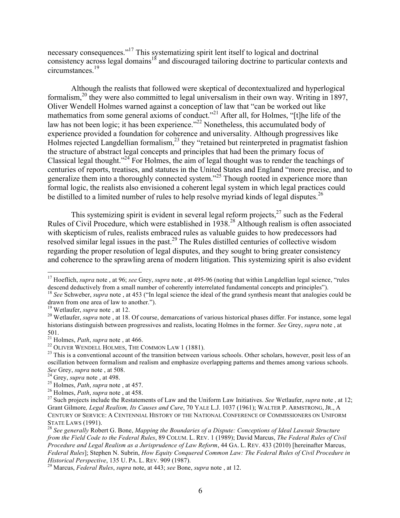necessary consequences."<sup>17</sup> This systematizing spirit lent itself to logical and doctrinal consistency across legal domains<sup>18</sup> and discouraged tailoring doctrine to particular contexts and circumstances.<sup>19</sup>

Although the realists that followed were skeptical of decontextualized and hyperlogical formalism,20 they were also committed to legal universalism in their own way. Writing in 1897, Oliver Wendell Holmes warned against a conception of law that "can be worked out like mathematics from some general axioms of conduct."<sup>21</sup> After all, for Holmes, "[t]he life of the law has not been logic; it has been experience."<sup>22</sup> Nonetheless, this accumulated body of experience provided a foundation for coherence and universality. Although progressives like Holmes rejected Langdellian formalism,<sup>23</sup> they "retained but reinterpreted in pragmatist fashion the structure of abstract legal concepts and principles that had been the primary focus of Classical legal thought."24 For Holmes, the aim of legal thought was to render the teachings of centuries of reports, treatises, and statutes in the United States and England "more precise, and to generalize them into a thoroughly connected system."<sup>25</sup> Though rooted in experience more than formal logic, the realists also envisioned a coherent legal system in which legal practices could be distilled to a limited number of rules to help resolve myriad kinds of legal disputes.<sup>26</sup>

This systemizing spirit is evident in several legal reform projects, $27$  such as the Federal Rules of Civil Procedure, which were established in 1938. <sup>28</sup> Although realism is often associated with skepticism of rules, realists embraced rules as valuable guides to how predecessors had resolved similar legal issues in the past.<sup>29</sup> The Rules distilled centuries of collective wisdom regarding the proper resolution of legal disputes, and they sought to bring greater consistency and coherence to the sprawling arena of modern litigation. This systemizing spirit is also evident

<sup>&</sup>lt;sup>17</sup> Hoeflich, *supra* note, at 96; *see* Grey, *supra* note, at 495-96 (noting that within Langdellian legal science, "rules descend deductively from a small number of coherently interrelated fundamental concepts and prin

<sup>&</sup>lt;sup>18</sup> See Schweber, *supra* note, at 453 ("In legal science the ideal of the grand synthesis meant that analogies could be drawn from one area of law to another.").<br><sup>19</sup> Wetlaufer, *supra* note, at 12.

<sup>&</sup>lt;sup>20</sup> Wetlaufer, *supra* note , at 18. Of course, demarcations of various historical phases differ. For instance, some legal historians distinguish between progressives and realists, locating Holmes in the former. *See* Grey, *supra* note , at

<sup>501.&</sup>lt;br><sup>21</sup> Holmes, *Path*, *supra* note, at 466.

<sup>&</sup>lt;sup>22</sup> OLIVER WENDELL HOLMES, THE COMMON LAW 1 (1881). <sup>23</sup> OLIVER WENDELL HOLMES, THE COMMON LAW 1 (1881). <sup>23</sup> This is a conventional account of the transition between various schools. Other scholars, however, posit less o oscillation between formalism and realism and emphasize overlapping patterns and themes among various schools. See Grey, supra note, at 508.<br>
<sup>24</sup> Grey, supra note, at 498.<br>
<sup>25</sup> Holmes, *Path*, supra note, at 457.<br>
<sup>26</sup> Holmes, *Path*, supra note, at 458.<br>
<sup>27</sup> Such projects include the Restatements of Law and the Uniform Law Init

Grant Gilmore*, Legal Realism, Its Causes and Cure*, 70 YALE L.J. 1037 (1961); WALTER P. ARMSTRONG, JR., A CENTURY OF SERVICE: A CENTENNIAL HISTORY OF THE NATIONAL CONFERENCE OF COMMISSIONERS ON UNIFORM STATE LAWS (1991). <sup>28</sup> *See generally* Robert G. Bone, *Mapping the Boundaries of a Dispute: Conceptions of Ideal Lawsuit Structure* 

*from the Field Code to the Federal Rules*, 89 COLUM. L. REV. 1 (1989); David Marcus, *The Federal Rules of Civil Procedure and Legal Realism as a Jurisprudence of Law Reform*, 44 GA. L. REV. 433 (2010) [hereinafter Marcus, *Federal Rules*]; Stephen N. Subrin, *How Equity Conquered Common Law: The Federal Rules of Civil Procedure in Historical Perspective*, 135 U. PA. L. REV. 909 (1987). <sup>29</sup> Marcus, *Federal Rules*, *supra* note, at 443; *see* Bone, *supra* note , at 12.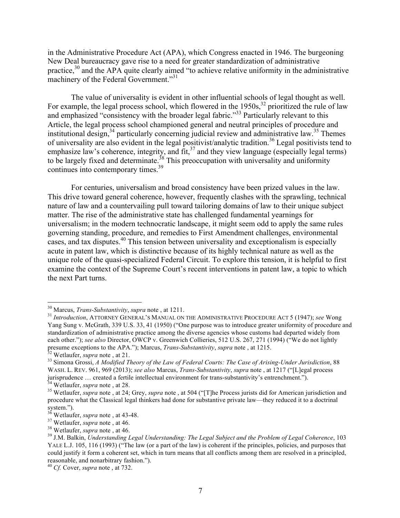in the Administrative Procedure Act (APA), which Congress enacted in 1946. The burgeoning New Deal bureaucracy gave rise to a need for greater standardization of administrative practice, $30$  and the APA quite clearly aimed "to achieve relative uniformity in the administrative machinery of the Federal Government."<sup>31</sup>

The value of universality is evident in other influential schools of legal thought as well. For example, the legal process school, which flowered in the  $1950s$ ,  $32$  prioritized the rule of law and emphasized "consistency with the broader legal fabric."<sup>33</sup> Particularly relevant to this Article, the legal process school championed general and neutral principles of procedure and institutional design,  $34$  particularly concerning judicial review and administrative law.  $35$  Themes of universality are also evident in the legal positivist/analytic tradition.<sup>36</sup> Legal positivists tend to emphasize law's coherence, integrity, and fit,  $37$  and they view language (especially legal terms) to be largely fixed and determinate.<sup>38</sup> This preoccupation with universality and uniformity continues into contemporary times.<sup>39</sup>

For centuries, universalism and broad consistency have been prized values in the law. This drive toward general coherence, however, frequently clashes with the sprawling, technical nature of law and a countervailing pull toward tailoring domains of law to their unique subject matter. The rise of the administrative state has challenged fundamental yearnings for universalism; in the modern technocratic landscape, it might seem odd to apply the same rules governing standing, procedure, and remedies to First Amendment challenges, environmental cases, and tax disputes.<sup>40</sup> This tension between universality and exceptionalism is especially acute in patent law, which is distinctive because of its highly technical nature as well as the unique role of the quasi-specialized Federal Circuit. To explore this tension, it is helpful to first examine the context of the Supreme Court's recent interventions in patent law, a topic to which the next Part turns.

<sup>&</sup>lt;sup>30</sup> Marcus, *Trans-Substantivity*, *supra* note, at 1211.<br><sup>31</sup> *Introduction*, ATTORNEY GENERAL'S MANUAL ON THE ADMINISTRATIVE PROCEDURE ACT 5 (1947); *see* Wong Yang Sung v. McGrath, 339 U.S. 33, 41 (1950) ("One purpose was to introduce greater uniformity of procedure and standardization of administrative practice among the diverse agencies whose customs had departed widely from each other."); *see also* Director, OWCP v. Greenwich Collieries, 512 U.S. 267, 271 (1994) ("We do not lightly presume exceptions to the APA."); Marcus, *Trans-Substantivity*, *supra* note, at 1215.

 $32$  Wetlaufer, *supra* note, at 21.<br><sup>33</sup> Simona Grossi, A Modified Theory of the Law of Federal Courts: The Case of Arising-Under Jurisdiction, 88 WASH. L. REV. 961, 969 (2013); *see also* Marcus, *Trans-Substantivity*, *supra* note , at 1217 ("[L]egal process jurisprudence ... created a fertile intellectual environment for trans-substantivity's entrenchment.").<br><sup>34</sup> Wetlaufer, *supra* note , at 28.<br><sup>35</sup> Wetlaufer, *supra* note , at 24; Grey, *supra* note , at 504 ("[T]he Proces

procedure what the Classical legal thinkers had done for substantive private law—they reduced it to a doctrinal system.").<br><sup>36</sup> Wetlaufer, *supra* note , at 43-48.<br><sup>37</sup> Wetlaufer, *supra* note , at 46.<br><sup>38</sup> Wetlaufer, *supra* note , at 46.<br><sup>39</sup> J.M. Balkin, *Understanding Legal Understanding: The Legal Subject and the Problem of Leg* 

YALE L.J. 105, 116 (1993) ("The law (or a part of the law) is coherent if the principles, policies, and purposes that could justify it form a coherent set, which in turn means that all conflicts among them are resolved in a principled, reasonable, and nonarbitrary fashion."). <sup>40</sup> *Cf.* Cover, *supra* note , at 732.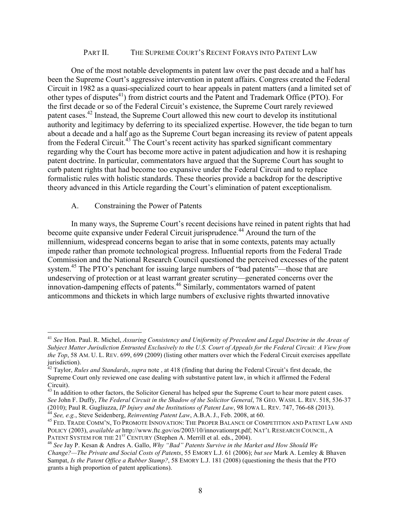## PART II. THE SUPREME COURT'S RECENT FORAYS INTO PATENT LAW

One of the most notable developments in patent law over the past decade and a half has been the Supreme Court's aggressive intervention in patent affairs. Congress created the Federal Circuit in 1982 as a quasi-specialized court to hear appeals in patent matters (and a limited set of other types of disputes<sup>41</sup>) from district courts and the Patent and Trademark Office (PTO). For the first decade or so of the Federal Circuit's existence, the Supreme Court rarely reviewed patent cases.<sup>42</sup> Instead, the Supreme Court allowed this new court to develop its institutional authority and legitimacy by deferring to its specialized expertise. However, the tide began to turn about a decade and a half ago as the Supreme Court began increasing its review of patent appeals from the Federal Circuit.<sup>43</sup> The Court's recent activity has sparked significant commentary regarding why the Court has become more active in patent adjudication and how it is reshaping patent doctrine. In particular, commentators have argued that the Supreme Court has sought to curb patent rights that had become too expansive under the Federal Circuit and to replace formalistic rules with holistic standards. These theories provide a backdrop for the descriptive theory advanced in this Article regarding the Court's elimination of patent exceptionalism.

## A. Constraining the Power of Patents

In many ways, the Supreme Court's recent decisions have reined in patent rights that had become quite expansive under Federal Circuit jurisprudence.<sup>44</sup> Around the turn of the millennium, widespread concerns began to arise that in some contexts, patents may actually impede rather than promote technological progress. Influential reports from the Federal Trade Commission and the National Research Council questioned the perceived excesses of the patent system.<sup>45</sup> The PTO's penchant for issuing large numbers of "bad patents"—those that are undeserving of protection or at least warrant greater scrutiny—generated concerns over the innovation-dampening effects of patents.46 Similarly, commentators warned of patent anticommons and thickets in which large numbers of exclusive rights thwarted innovative

 <sup>41</sup> *See* Hon. Paul. R. Michel, *Assuring Consistency and Uniformity of Precedent and Legal Doctrine in the Areas of Subject Matter Jurisdiction Entrusted Exclusively to the U.S. Court of Appeals for the Federal Circuit: A View from the Top*, 58 AM. U. L. REV. 699, 699 (2009) (listing other matters over which the Federal Circuit exercises appellate jurisdiction).

<sup>42</sup> Taylor, *Rules and Standards*, *supra* note , at 418 (finding that during the Federal Circuit's first decade, the Supreme Court only reviewed one case dealing with substantive patent law, in which it affirmed the Federal Circuit).

<sup>&</sup>lt;sup>43</sup> In addition to other factors, the Solicitor General has helped spur the Supreme Court to hear more patent cases. *See* John F. Duffy, *The Federal Circuit in the Shadow of the Solicitor General*, 78 GEO. WASH. L. REV. 518, 536-37 (2010); Paul R. Gugliuzza, *IP Injury and the Institutions of Patent Law*, 98 IOWA L. REV. 747, 766-68 (2013).<br><sup>44</sup> See, e.g., Steve Seidenberg, *Reinventing Patent Law*, A.B.A. J., Feb. 2008, at 60.<br><sup>45</sup> FED. TRADE COMM'

POLICY (2003), *available at* http://www.ftc.gov/os/2003/10/innovationrpt.pdf; NAT'L RESEARCH COUNCIL, A PATENT SYSTEM FOR THE 21<sup>st</sup> CENTURY (Stephen A. Merrill et al. eds., 2004).<br><sup>46</sup> *See Jay P. Kesan & Andres A. Gallo, <i>Why "Bad" Patents Survive in the Market and How Should We* 

*Change?—The Private and Social Costs of Patents*, 55 EMORY L.J. 61 (2006); *but see* Mark A. Lemley & Bhaven Sampat, *Is the Patent Office a Rubber Stamp?*, 58 EMORY L.J. 181 (2008) (questioning the thesis that the PTO grants a high proportion of patent applications).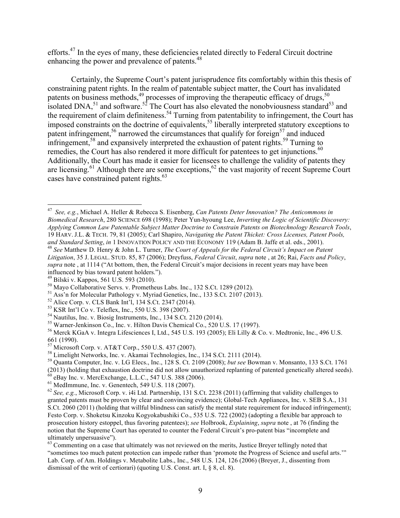efforts.<sup>47</sup> In the eyes of many, these deficiencies related directly to Federal Circuit doctrine enhancing the power and prevalence of patents.<sup>48</sup>

Certainly, the Supreme Court's patent jurisprudence fits comfortably within this thesis of constraining patent rights. In the realm of patentable subject matter, the Court has invalidated patents on business methods,  $49$  processes of improving the therapeutic efficacy of drugs,  $50$ isolated DNA,<sup>51</sup> and software.<sup>52</sup> The Court has also elevated the nonobviousness standard<sup>53</sup> and the requirement of claim definiteness.<sup>54</sup> Turning from patentability to infringement, the Court has imposed constraints on the doctrine of equivalents,<sup>55</sup> liberally interpreted statutory exceptions to patent infringement,<sup>56</sup> narrowed the circumstances that qualify for foreign<sup>57</sup> and induced infringement,<sup>58</sup> and expansively interpreted the exhaustion of patent rights.<sup>59</sup> Turning to remedies, the Court has also rendered it more difficult for patentees to get injunctions.<sup>60</sup> Additionally, the Court has made it easier for licensees to challenge the validity of patents they are licensing.<sup>61</sup> Although there are some exceptions,<sup>62</sup> the vast majority of recent Supreme Court cases have constrained patent rights. 63

<sup>48</sup> See Matthew D. Henry & John L. Turner, The Court of Appeals for the Federal Circuit's Impact on Patent *Litigation*, 35 J. LEGAL. STUD. 85, 87 (2006); Dreyfuss, *Federal Circuit*, *supra* note , at 26; Rai, *Facts and Policy*, *supra* note , at 1114 ("At bottom, then, the Federal Circuit's major decisions in recent years may have been influenced by bias toward patent holders.").<br><sup>49</sup> Bilski v. Kappos, 561 U.S. 593 (2010).

- 
- 

(2013) (holding that exhaustion doctrine did not allow unauthorized replanting of patented genetically altered seeds).<br><sup>60</sup> eBay Inc. v. MercExchange, L.L.C., 547 U.S. 388 (2006).<br><sup>61</sup> MedImmune, Inc. v. Genentech, 549 U.

 <sup>47</sup> *See, e.g.*, Michael A. Heller & Rebecca S. Eisenberg, *Can Patents Deter Innovation? The Anticommons in Biomedical Research*, 280 SCIENCE 698 (1998); Peter Yun-hyoung Lee, *Inverting the Logic of Scientific Discovery: Applying Common Law Patentable Subject Matter Doctrine to Constrain Patents on Biotechnology Research Tools*, 19 HARV. J.L. & TECH. 79, 81 (2005); Carl Shapiro, *Navigating the Patent Thicket: Cross Licenses, Patent Pools,* 

<sup>&</sup>lt;sup>50</sup> Mayo Collaborative Servs. v. Prometheus Labs. Inc., 132 S.Ct. 1289 (2012).<br>
<sup>51</sup> Ass'n for Molecular Pathology v. Myriad Genetics, Inc., 133 S.Ct. 2107 (2013).<br>
<sup>52</sup> Alice Corp. v. CLS Bank Int'l, 134 S.Ct. 2347 (201 661 (1990).<br><sup>57</sup> Microsoft Corp. v. AT&T Corp., 550 U.S. 437 (2007).

 $^{58}$  Limelight Networks, Inc. v. Akamai Technologies, Inc., 134 S.Ct. 2111 (2014).<br> $^{59}$  Quanta Computer, Inc. v. LG Elecs., Inc., 128 S. Ct. 2109 (2008); *but see* Bowman v. Monsanto, 133 S.Ct. 1761

granted patents must be proven by clear and convincing evidence); Global-Tech Appliances, Inc. v. SEB S.A., 131 S.Ct. 2060 (2011) (holding that willful blindness can satisfy the mental state requirement for induced infringement); Festo Corp. v. Shoketsu Kinzoku Kogyokabushiki Co., 535 U.S. 722 (2002) (adopting a flexible bar approach to prosecution history estoppel, thus favoring patentees); *see* Holbrook, *Explaining*, *supra* note , at 76 (finding the notion that the Supreme Court has operated to counter the Federal Circuit's pro-patent bias "incomplete and ultimately unpersuasive").

 $63$  Commenting on a case that ultimately was not reviewed on the merits, Justice Breyer tellingly noted that "sometimes too much patent protection can impede rather than 'promote the Progress of Science and useful arts.'" Lab. Corp. of Am. Holdings v. Metabolite Labs., Inc., 548 U.S. 124, 126 (2006) (Breyer, J., dissenting from dismissal of the writ of certiorari) (quoting U.S. Const. art. I, § 8, cl. 8).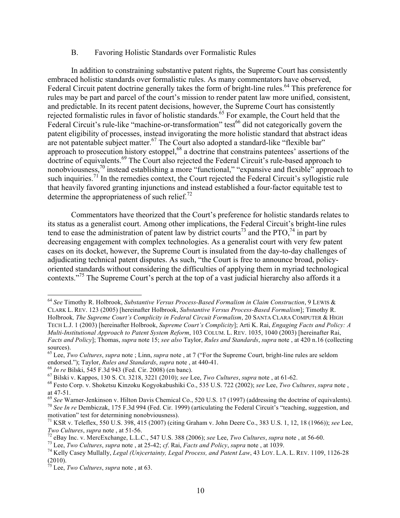## B. Favoring Holistic Standards over Formalistic Rules

In addition to constraining substantive patent rights, the Supreme Court has consistently embraced holistic standards over formalistic rules. As many commentators have observed, Federal Circuit patent doctrine generally takes the form of bright-line rules.<sup>64</sup> This preference for rules may be part and parcel of the court's mission to render patent law more unified, consistent, and predictable. In its recent patent decisions, however, the Supreme Court has consistently rejected formalistic rules in favor of holistic standards.<sup>65</sup> For example, the Court held that the Federal Circuit's rule-like "machine-or-transformation" test<sup>66</sup> did not categorically govern the patent eligibility of processes, instead invigorating the more holistic standard that abstract ideas are not patentable subject matter.<sup>67</sup> The Court also adopted a standard-like "flexible bar" approach to prosecution history estoppel,<sup>68</sup> a doctrine that constrains patentees' assertions of the doctrine of equivalents.<sup>69</sup> The Court also rejected the Federal Circuit's rule-based approach to nonobviousness,<sup>70</sup> instead establishing a more "functional," "expansive and flexible" approach to such inquiries.<sup>71</sup> In the remedies context, the Court rejected the Federal Circuit's syllogistic rule that heavily favored granting injunctions and instead established a four-factor equitable test to determine the appropriateness of such relief.<sup>72</sup>

Commentators have theorized that the Court's preference for holistic standards relates to its status as a generalist court. Among other implications, the Federal Circuit's bright-line rules tend to ease the administration of patent law by district courts<sup>73</sup> and the PTO,  $^{74}$  in part by decreasing engagement with complex technologies. As a generalist court with very few patent cases on its docket, however, the Supreme Court is insulated from the day-to-day challenges of adjudicating technical patent disputes. As such, "the Court is free to announce broad, policyoriented standards without considering the difficulties of applying them in myriad technological contexts."75 The Supreme Court's perch at the top of a vast judicial hierarchy also affords it a

 <sup>64</sup> *See* Timothy R. Holbrook, *Substantive Versus Process-Based Formalism in Claim Construction*, 9 LEWIS & CLARK L. REV. 123 (2005) [hereinafter Holbrook, *Substantive Versus Process-Based Formalism*]; Timothy R. Holbrook*, The Supreme Court's Complicity in Federal Circuit Formalism*, 20 SANTA CLARA COMPUTER & HIGH TECH L.J. 1 (2003) [hereinafter Holbrook, *Supreme Court's Complicity*]; Arti K. Rai, *Engaging Facts and Policy: A Multi-Institutional Approach to Patent System Reform*, 103 COLUM. L. REV. 1035, 1040 (2003) [hereinafter Rai, *Facts and Policy*]; Thomas, *supra* note 15; *see also* Taylor, *Rules and Standards*, *supra* note , at 420 n.16 (collecting sources).

<sup>65</sup> Lee, *Two Cultures*, *supra* note ; Linn, *supra* note , at 7 ("For the Supreme Court, bright-line rules are seldom endorsed."); Taylor, *Rules and Standards*, *supra* note, at 440-41.<br><sup>66</sup> In re Bilski, 545 F.3d 943 (Fed. Cir. 2008) (en banc).<br><sup>67</sup> Bilski v. Kappos, 130 S. Ct. 3218, 3221 (2010); *see* Lee, *Two Cultures*, *supra* note,

at 47-51.<br><sup>69</sup> See Warner-Jenkinson v. Hilton Davis Chemical Co., 520 U.S. 17 (1997) (addressing the doctrine of equivalents).<br><sup>70</sup> See In re Dembiczak, 175 F.3d 994 (Fed. Cir. 1999) (articulating the Federal Circuit's "t motivation" test for determining nonobviousness).

<sup>71</sup> KSR v. Teleflex, 550 U.S. 398, 415 (2007) (citing Graham v. John Deere Co., 383 U.S. 1, 12, 18 (1966)); *see* Lee, Two Cultures, supra note , at 51-56.<br><sup>72</sup> eBay Inc. v. MercExchange, L.L.C., 547 U.S. 388 (2006); see Lee, Two Cultures, supra note , at 56-60.<br><sup>73</sup> Lee, Two Cultures, supra note , at 25-42; cf. Rai, *Facts and Policy*, su

<sup>(2010).</sup>

<sup>75</sup> Lee, *Two Cultures*, *supra* note , at 63.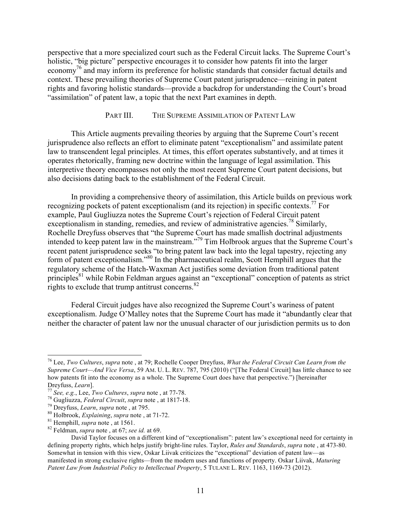perspective that a more specialized court such as the Federal Circuit lacks. The Supreme Court's holistic, "big picture" perspective encourages it to consider how patents fit into the larger economy<sup>76</sup> and may inform its preference for holistic standards that consider factual details and context. These prevailing theories of Supreme Court patent jurisprudence—reining in patent rights and favoring holistic standards—provide a backdrop for understanding the Court's broad "assimilation" of patent law, a topic that the next Part examines in depth.

#### PART III. THE SUPREME ASSIMILATION OF PATENT LAW

This Article augments prevailing theories by arguing that the Supreme Court's recent jurisprudence also reflects an effort to eliminate patent "exceptionalism" and assimilate patent law to transcendent legal principles. At times, this effort operates substantively, and at times it operates rhetorically, framing new doctrine within the language of legal assimilation. This interpretive theory encompasses not only the most recent Supreme Court patent decisions, but also decisions dating back to the establishment of the Federal Circuit.

In providing a comprehensive theory of assimilation, this Article builds on previous work recognizing pockets of patent exceptionalism (and its rejection) in specific contexts. <sup>77</sup> For example, Paul Gugliuzza notes the Supreme Court's rejection of Federal Circuit patent exceptionalism in standing, remedies, and review of administrative agencies.<sup>78</sup> Similarly, Rochelle Dreyfuss observes that "the Supreme Court has made smallish doctrinal adjustments intended to keep patent law in the mainstream."79 Tim Holbrook argues that the Supreme Court's recent patent jurisprudence seeks "to bring patent law back into the legal tapestry, rejecting any form of patent exceptionalism.<sup>80</sup> In the pharmaceutical realm, Scott Hemphill argues that the regulatory scheme of the Hatch-Waxman Act justifies some deviation from traditional patent principles<sup>81</sup> while Robin Feldman argues against an "exceptional" conception of patents as strict rights to exclude that trump antitrust concerns.<sup>82</sup>

Federal Circuit judges have also recognized the Supreme Court's wariness of patent exceptionalism. Judge O'Malley notes that the Supreme Court has made it "abundantly clear that neither the character of patent law nor the unusual character of our jurisdiction permits us to don

 <sup>76</sup> Lee, *Two Cultures*, *supra* note , at 79; Rochelle Cooper Dreyfuss, *What the Federal Circuit Can Learn from the Supreme Court—And Vice Versa*, 59 AM. U. L. REV. 787, 795 (2010) ("[The Federal Circuit] has little chance to see how patents fit into the economy as a whole. The Supreme Court does have that perspective.") [hereinafter Dreyfuss, *Learn*].<br>
<sup>77</sup> See, e.g., Lee, *Two Cultures*, *supra* note, at 77-78.<br>
<sup>78</sup> Gugliuzza, *Federal Circuit*, *supra* note, at 1817-18.<br>
<sup>79</sup> Dreyfuss, *Learn*, *supra* note, at 795.<br>
<sup>80</sup> Holbrook, *Explaining*,

David Taylor focuses on a different kind of "exceptionalism": patent law's exceptional need for certainty in defining property rights, which helps justify bright-line rules. Taylor, *Rules and Standards*, *supra* note , at 473-80. Somewhat in tension with this view, Oskar Liivak criticizes the "exceptional" deviation of patent law—as manifested in strong exclusive rights—from the modern uses and functions of property. Oskar Liivak, *Maturing Patent Law from Industrial Policy to Intellectual Property*, 5 TULANE L. REV. 1163, 1169-73 (2012).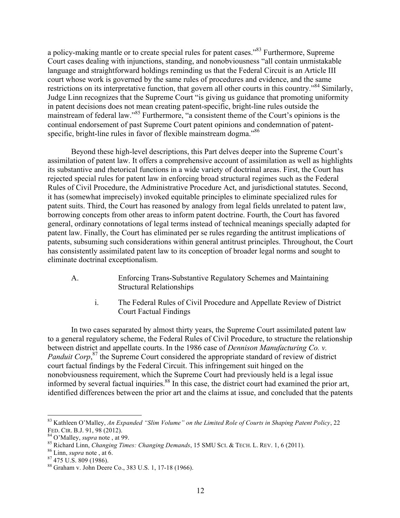a policy-making mantle or to create special rules for patent cases.<sup>83</sup> Furthermore, Supreme Court cases dealing with injunctions, standing, and nonobviousness "all contain unmistakable language and straightforward holdings reminding us that the Federal Circuit is an Article III court whose work is governed by the same rules of procedures and evidence, and the same restrictions on its interpretative function, that govern all other courts in this country.<sup>84</sup> Similarly, Judge Linn recognizes that the Supreme Court "is giving us guidance that promoting uniformity in patent decisions does not mean creating patent-specific, bright-line rules outside the mainstream of federal law."85 Furthermore, "a consistent theme of the Court's opinions is the continual endorsement of past Supreme Court patent opinions and condemnation of patentspecific, bright-line rules in favor of flexible mainstream dogma."<sup>86</sup>

Beyond these high-level descriptions, this Part delves deeper into the Supreme Court's assimilation of patent law. It offers a comprehensive account of assimilation as well as highlights its substantive and rhetorical functions in a wide variety of doctrinal areas. First, the Court has rejected special rules for patent law in enforcing broad structural regimes such as the Federal Rules of Civil Procedure, the Administrative Procedure Act, and jurisdictional statutes. Second, it has (somewhat imprecisely) invoked equitable principles to eliminate specialized rules for patent suits. Third, the Court has reasoned by analogy from legal fields unrelated to patent law, borrowing concepts from other areas to inform patent doctrine. Fourth, the Court has favored general, ordinary connotations of legal terms instead of technical meanings specially adapted for patent law. Finally, the Court has eliminated per se rules regarding the antitrust implications of patents, subsuming such considerations within general antitrust principles. Throughout, the Court has consistently assimilated patent law to its conception of broader legal norms and sought to eliminate doctrinal exceptionalism.

- A. Enforcing Trans-Substantive Regulatory Schemes and Maintaining Structural Relationships
	- i. The Federal Rules of Civil Procedure and Appellate Review of District Court Factual Findings

In two cases separated by almost thirty years, the Supreme Court assimilated patent law to a general regulatory scheme, the Federal Rules of Civil Procedure, to structure the relationship between district and appellate courts. In the 1986 case of *Dennison Manufacturing Co. v.*  Panduit Corp,<sup>87</sup> the Supreme Court considered the appropriate standard of review of district court factual findings by the Federal Circuit. This infringement suit hinged on the nonobviousness requirement, which the Supreme Court had previously held is a legal issue informed by several factual inquiries.<sup>88</sup> In this case, the district court had examined the prior art, identified differences between the prior art and the claims at issue, and concluded that the patents

 <sup>83</sup> Kathleen O'Malley, *An Expanded "Slim Volume" on the Limited Role of Courts in Shaping Patent Policy*, 22 FED. CIR. B.J. 91, 98 (2012).<br><sup>84</sup> O'Malley, *supra* note , at 99.<br><sup>85</sup> Richard Linn, *Changing Times: Changing Demands*, 15 SMU SCI. & TECH. L. REV. 1, 6 (2011).<br><sup>86</sup> Linn, *supra* note , at 6.<br><sup>87</sup> 475 U.S. 809 (1986).<br><sup></sup>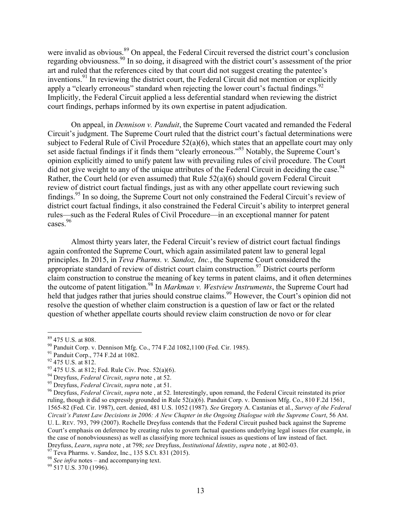were invalid as obvious.<sup>89</sup> On appeal, the Federal Circuit reversed the district court's conclusion regarding obviousness.90 In so doing, it disagreed with the district court's assessment of the prior art and ruled that the references cited by that court did not suggest creating the patentee's inventions. <sup>91</sup> In reviewing the district court, the Federal Circuit did not mention or explicitly apply a "clearly erroneous" standard when rejecting the lower court's factual findings.<sup>92</sup> Implicitly, the Federal Circuit applied a less deferential standard when reviewing the district court findings, perhaps informed by its own expertise in patent adjudication.

On appeal, in *Dennison v. Panduit*, the Supreme Court vacated and remanded the Federal Circuit's judgment. The Supreme Court ruled that the district court's factual determinations were subject to Federal Rule of Civil Procedure 52(a)(6), which states that an appellate court may only set aside factual findings if it finds them "clearly erroneous."93 Notably, the Supreme Court's opinion explicitly aimed to unify patent law with prevailing rules of civil procedure. The Court did not give weight to any of the unique attributes of the Federal Circuit in deciding the case.<sup>94</sup> Rather, the Court held (or even assumed) that Rule 52(a)(6) should govern Federal Circuit review of district court factual findings, just as with any other appellate court reviewing such findings.95 In so doing, the Supreme Court not only constrained the Federal Circuit's review of district court factual findings, it also constrained the Federal Circuit's ability to interpret general rules—such as the Federal Rules of Civil Procedure—in an exceptional manner for patent cases.<sup>96</sup>

Almost thirty years later, the Federal Circuit's review of district court factual findings again confronted the Supreme Court, which again assimilated patent law to general legal principles. In 2015, in *Teva Pharms. v. Sandoz, Inc.*, the Supreme Court considered the appropriate standard of review of district court claim construction.<sup>97</sup> District courts perform claim construction to construe the meaning of key terms in patent claims, and it often determines the outcome of patent litigation.98 In *Markman v. Westview Instruments*, the Supreme Court had held that judges rather that juries should construe claims.<sup>99</sup> However, the Court's opinion did not resolve the question of whether claim construction is a question of law or fact or the related question of whether appellate courts should review claim construction de novo or for clear

<sup>&</sup>lt;sup>89</sup> 475 U.S. at 808.<br><sup>90</sup> Panduit Corp. v. Dennison Mfg. Co., 774 F.2d 1082,1100 (Fed. Cir. 1985).<br><sup>91</sup> Panduit Corp., 774 F.2d at 1082.<br><sup>92</sup> 475 U.S. at 812.<br><sup>93</sup> 475 U.S. at 812; Fed. Rule Civ. Proc. 52(a)(6).<br><sup>94</sup> Dre ruling, though it did so expressly grounded in Rule 52(a)(6). Panduit Corp. v. Dennison Mfg. Co., 810 F.2d 1561, 1565-82 (Fed. Cir. 1987), cert. denied, 481 U.S. 1052 (1987). *See* Gregory A. Castanias et al., *Survey of the Federal Circuit's Patent Law Decisions in 2006: A New Chapter in the Ongoing Dialogue with the Supreme Court*, 56 AM. U. L. REV. 793, 799 (2007). Rochelle Dreyfuss contends that the Federal Circuit pushed back against the Supreme Court's emphasis on deference by creating rules to govern factual questions underlying legal issues (for example, in the case of nonobviousness) as well as classifying more technical issues as questions of law instead of fact. Dreyfuss, *Learn*, *supra* note, at 798; *see* Dreyfuss, *Institutional Identity*, *supra* note, at 802-03.<br><sup>97</sup> Teva Pharms. v. Sandoz, Inc., 135 S.Ct. 831 (2015).<br><sup>98</sup> See infra notes – and accompanying text.<br><sup>99</sup> 517 U.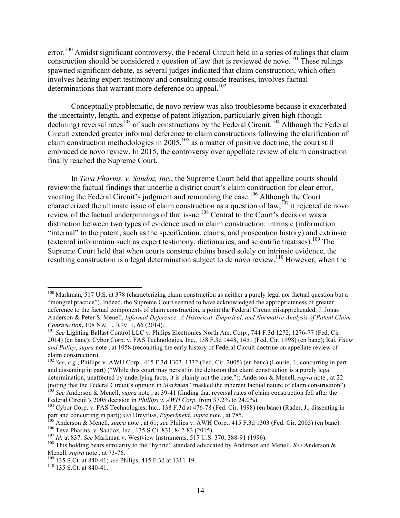error.<sup>100</sup> Amidst significant controversy, the Federal Circuit held in a series of rulings that claim construction should be considered a question of law that is reviewed de novo.<sup>101</sup> These rulings spawned significant debate, as several judges indicated that claim construction, which often involves hearing expert testimony and consulting outside treatises, involves factual determinations that warrant more deference on appeal.<sup>102</sup>

Conceptually problematic, de novo review was also troublesome because it exacerbated the uncertainty, length, and expense of patent litigation, particularly given high (though declining) reversal rates<sup>103</sup> of such constructions by the Federal Circuit.<sup>104</sup> Although the Federal Circuit extended greater informal deference to claim constructions following the clarification of claim construction methodologies in  $2005$ ,  $^{105}$  as a matter of positive doctrine, the court still embraced de novo review. In 2015, the controversy over appellate review of claim construction finally reached the Supreme Court.

In *Teva Pharms. v. Sandoz, Inc.*, the Supreme Court held that appellate courts should review the factual findings that underlie a district court's claim construction for clear error, vacating the Federal Circuit's judgment and remanding the case.<sup>106</sup> Although the Court characterized the ultimate issue of claim construction as a question of law,<sup>107</sup> it rejected de novo review of the factual underpinnings of that issue.<sup>108</sup> Central to the Court's decision was a distinction between two types of evidence used in claim construction: intrinsic (information "internal" to the patent, such as the specification, claims, and prosecution history) and extrinsic (external information such as expert testimony, dictionaries, and scientific treatises). <sup>109</sup> The Supreme Court held that when courts construe claims based solely on intrinsic evidence, the resulting construction is a legal determination subject to de novo review.<sup>110</sup> However, when the

<sup>&</sup>lt;sup>100</sup> Markman, 517 U.S. at 378 (characterizing claim construction as neither a purely legal nor factual question but a "mongrel practice"). Indeed, the Supreme Court seemed to have acknowledged the appropriateness of greater deference to the factual components of claim construction, a point the Federal Circuit misapprehended. J. Jonas Anderson & Peter S. Menell, *Informal Deference: A Historical, Empirical, and Normative Analysis of Patent Claim Construction*, 108 NW. L. REV. 1, 66 (2014).<br><sup>101</sup> *See* Lighting Ballast Control LLC v. Philips Electronics North Am. Corp., 744 F.3d 1272, 1276-77 (Fed. Cir.

<sup>2014) (</sup>en banc); Cybor Corp. v. FAS Technologies, Inc., 138 F.3d 1448, 1451 (Fed. Cir. 1998) (en banc); Rai, *Facts and Policy*, *supra* note , at 1058 (recounting the early history of Federal Circuit doctrine on appellate review of claim construction).

<sup>102</sup> *See, e.g.*, Phillips v. AWH Corp., 415 F.3d 1303, 1332 (Fed. Cir. 2005) (en banc) (Lourie, J., concurring in part and dissenting in part) ("While this court may persist in the delusion that claim construction is a purely legal determination, unaffected by underlying facts, it is plainly not the case."); Anderson & Menell, *supra* note , at 22 (noting that the Federal Circuit's opinion in *Markman* "masked the inherent factual nature of claim construction").<br><sup>103</sup> See Anderson & Menell, *supra* note, at 39-41 (finding that reversal rates of claim construction f

<sup>&</sup>lt;sup>104</sup> Cybor Corp. v. FAS Technologies, Inc., 138 F.3d at 476-78 (Fed. Cir. 1998) (en banc) (Rader, J., dissenting in part and concurring in part); see Dreyfuss, *Experiment*, supra note, at 785.<br>
<sup>105</sup> Anderson & Menell, *supra* note, at 61; see Philips v. AWH Corp., 415 F.3d 1303 (Fed. Cir. 2005) (en banc).<br>
<sup>106</sup> Teva Pharms. v. Sandoz

Menell, *supra* note, at 73-76.<br><sup>109</sup> 135 S.Ct. at 840-41; *see* Philips, 415 F.3d at 1311-19.<br><sup>110</sup> 135 S.Ct. at 840-41.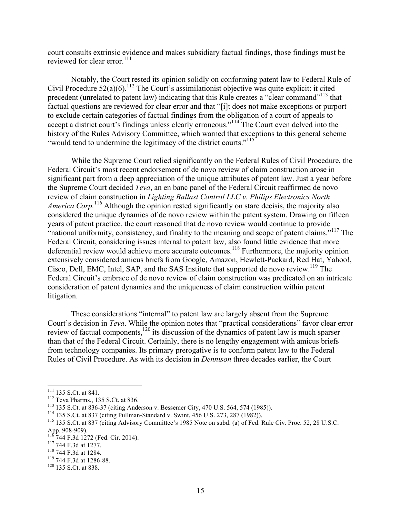court consults extrinsic evidence and makes subsidiary factual findings, those findings must be reviewed for clear error.<sup>111</sup>

Notably, the Court rested its opinion solidly on conforming patent law to Federal Rule of Civil Procedure  $52(a)(6)$ .<sup>112</sup> The Court's assimilationist objective was quite explicit: it cited precedent (unrelated to patent law) indicating that this Rule creates a "clear command"113 that factual questions are reviewed for clear error and that "[i]t does not make exceptions or purport to exclude certain categories of factual findings from the obligation of a court of appeals to accept a district court's findings unless clearly erroneous."<sup>114</sup> The Court even delved into the history of the Rules Advisory Committee, which warned that exceptions to this general scheme "would tend to undermine the legitimacy of the district courts."<sup>115</sup>

While the Supreme Court relied significantly on the Federal Rules of Civil Procedure, the Federal Circuit's most recent endorsement of de novo review of claim construction arose in significant part from a deep appreciation of the unique attributes of patent law. Just a year before the Supreme Court decided *Teva*, an en banc panel of the Federal Circuit reaffirmed de novo review of claim construction in *Lighting Ballast Control LLC v. Philips Electronics North America Corp.*<sup>116</sup> Although the opinion rested significantly on stare decisis, the majority also considered the unique dynamics of de novo review within the patent system. Drawing on fifteen years of patent practice, the court reasoned that de novo review would continue to provide "national uniformity, consistency, and finality to the meaning and scope of patent claims."<sup>117</sup> The Federal Circuit, considering issues internal to patent law, also found little evidence that more deferential review would achieve more accurate outcomes.<sup>118</sup> Furthermore, the majority opinion extensively considered amicus briefs from Google, Amazon, Hewlett-Packard, Red Hat, Yahoo!, Cisco, Dell, EMC, Intel, SAP, and the SAS Institute that supported de novo review.<sup>119</sup> The Federal Circuit's embrace of de novo review of claim construction was predicated on an intricate consideration of patent dynamics and the uniqueness of claim construction within patent litigation.

These considerations "internal" to patent law are largely absent from the Supreme Court's decision in *Teva*. While the opinion notes that "practical considerations" favor clear error review of factual components,<sup>120</sup> its discussion of the dynamics of patent law is much sparser than that of the Federal Circuit. Certainly, there is no lengthy engagement with amicus briefs from technology companies. Its primary prerogative is to conform patent law to the Federal Rules of Civil Procedure. As with its decision in *Dennison* three decades earlier, the Court

<sup>&</sup>lt;sup>111</sup> 135 S.Ct. at 841.<br><sup>112</sup> Teva Pharms., 135 S.Ct. at 836.<br><sup>113</sup> 135 S.Ct. at 836-37 (citing Anderson v. Bessemer City, 470 U.S. 564, 574 (1985)).<br><sup>114</sup> 135 S.Ct. at 837 (citing Pullman-Standard v. Swint, 456 U.S. 273, App. 908-909).<br><sup>116</sup> 744 F.3d 1272 (Fed. Cir. 2014).<br><sup>117</sup> 744 F.3d at 1277.<br><sup>118</sup> 744 F.3d at 1284.<br><sup>119</sup> 744 F.3d at 1286-88.<br><sup>120</sup> 135 S.Ct. at 838.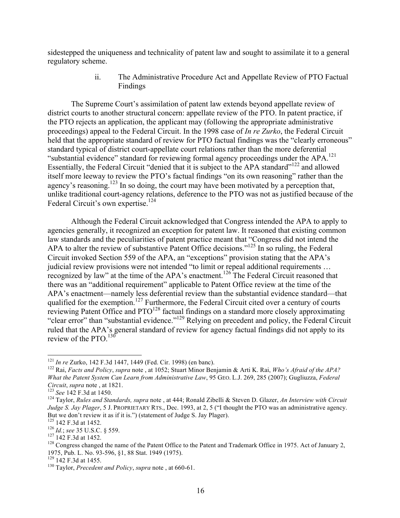sidestepped the uniqueness and technicality of patent law and sought to assimilate it to a general regulatory scheme.

> ii. The Administrative Procedure Act and Appellate Review of PTO Factual Findings

The Supreme Court's assimilation of patent law extends beyond appellate review of district courts to another structural concern: appellate review of the PTO. In patent practice, if the PTO rejects an application, the applicant may (following the appropriate administrative proceedings) appeal to the Federal Circuit. In the 1998 case of *In re Zurko*, the Federal Circuit held that the appropriate standard of review for PTO factual findings was the "clearly erroneous" standard typical of district court-appellate court relations rather than the more deferential "substantial evidence" standard for reviewing formal agency proceedings under the APA.<sup>121</sup> Essentially, the Federal Circuit "denied that it is subject to the APA standard"<sup>122</sup> and allowed itself more leeway to review the PTO's factual findings "on its own reasoning" rather than the agency's reasoning.<sup>123</sup> In so doing, the court may have been motivated by a perception that, unlike traditional court-agency relations, deference to the PTO was not as justified because of the Federal Circuit's own expertise.<sup>124</sup>

Although the Federal Circuit acknowledged that Congress intended the APA to apply to agencies generally, it recognized an exception for patent law. It reasoned that existing common law standards and the peculiarities of patent practice meant that "Congress did not intend the APA to alter the review of substantive Patent Office decisions."<sup>125</sup> In so ruling, the Federal Circuit invoked Section 559 of the APA, an "exceptions" provision stating that the APA's judicial review provisions were not intended "to limit or repeal additional requirements ... recognized by law" at the time of the APA's enactment.<sup>126</sup> The Federal Circuit reasoned that there was an "additional requirement" applicable to Patent Office review at the time of the APA's enactment—namely less deferential review than the substantial evidence standard—that qualified for the exemption.<sup>127</sup> Furthermore, the Federal Circuit cited over a century of courts reviewing Patent Office and PTO<sup>128</sup> factual findings on a standard more closely approximating "clear error" than "substantial evidence."<sup>129</sup> Relying on precedent and policy, the Federal Circuit ruled that the APA's general standard of review for agency factual findings did not apply to its review of the PTO.<sup>130</sup>

<sup>&</sup>lt;sup>121</sup> *In re* Zurko, 142 F.3d 1447, 1449 (Fed. Cir. 1998) (en banc).<br><sup>122</sup> Rai, *Facts and Policy*, *supra* note , at 1052; Stuart Minor Benjamin & Arti K. Rai, *Who's Afraid of the APA? What the Patent System Can Learn from Administrative Law*, 95 GEO. L.J. 269, 285 (2007); Gugliuzza, *Federal Circuit*, *supra* note, at 1821.<br><sup>123</sup> *See* 142 F.3d at 1450.<br><sup>124</sup> Taylor, *Rules and Standards, supra* note, at 444; Ronald Zibelli & Steven D. Glazer, *An Interview with Circuit* 

*Judge S. Jay Plager*, 5 J. PROPRIETARY RTS., Dec. 1993, at 2, 5 ("I thought the PTO was an administrative agency.<br>But we don't review it as if it is.") (statement of Judge S. Jay Plager).

<sup>&</sup>lt;sup>126</sup> 142 F.3d at 1452.<br><sup>126</sup> *Id.*; see 35 U.S.C. § 559.<br><sup>127</sup> 142 F.3d at 1452.<br><sup>128</sup> Congress changed the name of the Patent Office to the Patent and Trademark Office in 1975. Act of January 2, 1975, Pub. L. No. 93-596, §1, 88 Stat. 1949 (1975). <sup>129</sup> 142 F.3d at 1455. <sup>130</sup> Taylor, *Precedent and Policy*, *supra* note , at 660-61.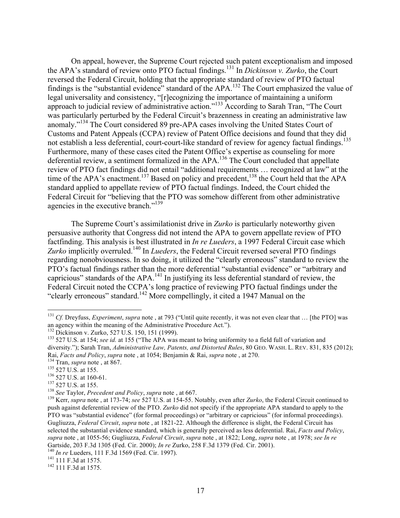On appeal, however, the Supreme Court rejected such patent exceptionalism and imposed the APA's standard of review onto PTO factual findings.131 In *Dickinson v. Zurko*, the Court reversed the Federal Circuit, holding that the appropriate standard of review of PTO factual findings is the "substantial evidence" standard of the APA.<sup>132</sup> The Court emphasized the value of legal universality and consistency, "[r]ecognizing the importance of maintaining a uniform approach to judicial review of administrative action."<sup>133</sup> According to Sarah Tran, "The Court was particularly perturbed by the Federal Circuit's brazenness in creating an administrative law anomaly."<sup>134</sup> The Court considered 89 pre-APA cases involving the United States Court of Customs and Patent Appeals (CCPA) review of Patent Office decisions and found that they did not establish a less deferential, court-court-like standard of review for agency factual findings.<sup>135</sup> Furthermore, many of these cases cited the Patent Office's expertise as counseling for more deferential review, a sentiment formalized in the APA.<sup>136</sup> The Court concluded that appellate review of PTO fact findings did not entail "additional requirements … recognized at law" at the time of the APA's enactment.<sup>137</sup> Based on policy and precedent,<sup>138</sup> the Court held that the APA standard applied to appellate review of PTO factual findings. Indeed, the Court chided the Federal Circuit for "believing that the PTO was somehow different from other administrative agencies in the executive branch."<sup>139</sup>

The Supreme Court's assimilationist drive in *Zurko* is particularly noteworthy given persuasive authority that Congress did not intend the APA to govern appellate review of PTO factfinding. This analysis is best illustrated in *In re Lueders*, a 1997 Federal Circuit case which Zurko implicitly overruled.<sup>140</sup> In *Lueders*, the Federal Circuit reversed several PTO findings regarding nonobviousness. In so doing, it utilized the "clearly erroneous" standard to review the PTO's factual findings rather than the more deferential "substantial evidence" or "arbitrary and capricious" standards of the APA.<sup>141</sup> In justifying its less deferential standard of review, the Federal Circuit noted the CCPA's long practice of reviewing PTO factual findings under the "clearly erroneous" standard.<sup>142</sup> More compellingly, it cited a 1947 Manual on the

<sup>&</sup>lt;sup>131</sup> *Cf.* Dreyfuss, *Experiment*, *supra* note, at 793 ("Until quite recently, it was not even clear that ... [the PTO] was an agency within the meaning of the Administrative Procedure Act.").

 $^{132}$  Dickinson v. Zurko, 527 U.S. 150, 151 (1999).<br> $^{133}$  527 U.S. at 154; see id. at 155 ("The APA was meant to bring uniformity to a field full of variation and diversity."); Sarah Tran, *Administrative Law, Patents, and Distorted Rules*, 80 GEO. WASH. L. REV. 831, 835 (2012); Rai, *Facts and Policy*, *supra* note, at 1054; Benjamin & Rai, *supra* note, at 270.<br><sup>134</sup> Tran, *supra* note, at 867.<br><sup>135</sup> 527 U.S. at 155.<br><sup>136</sup> 527 U.S. at 160-61.<br><sup>137</sup> 527 U.S. at 155.<br><sup>138</sup> See Taylor, *Precedent* 

push against deferential review of the PTO. *Zurko* did not specify if the appropriate APA standard to apply to the PTO was "substantial evidence" (for formal proceedings) or "arbitrary or capricious" (for informal proceedings). Gugliuzza, *Federal Circuit*, *supra* note , at 1821-22. Although the difference is slight, the Federal Circuit has selected the substantial evidence standard, which is generally perceived as less deferential. Rai, *Facts and Policy*, *supra* note , at 1055-56; Gugliuzza, *Federal Circuit*, *supra* note , at 1822; Long, *supra* note , at 1978; *see In re* Gartside, 203 F.3d 1305 (Fed. Cir. 2000); *In re* Zurko, 258 F.3d 1379 (Fed. Cir. 2001).<br><sup>140</sup> *In re* Lueders, 111 F.3d 1569 (Fed. Cir. 1997).<br><sup>141</sup> 111 F.3d at 1575.<br><sup>142</sup> 111 F.3d at 1575.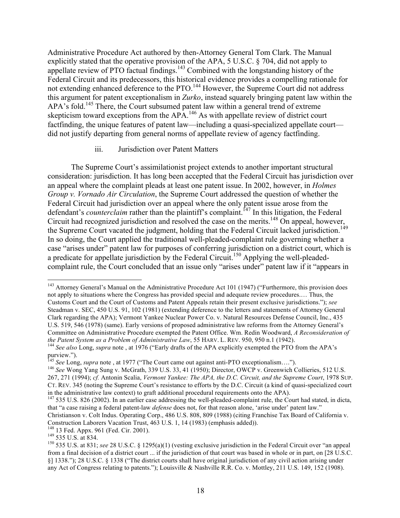Administrative Procedure Act authored by then-Attorney General Tom Clark. The Manual explicitly stated that the operative provision of the APA, 5 U.S.C. § 704, did not apply to appellate review of PTO factual findings.<sup>143</sup> Combined with the longstanding history of the Federal Circuit and its predecessors, this historical evidence provides a compelling rationale for not extending enhanced deference to the PTO.<sup>144</sup> However, the Supreme Court did not address this argument for patent exceptionalism in *Zurko*, instead squarely bringing patent law within the APA's fold.<sup>145</sup> There, the Court subsumed patent law within a general trend of extreme skepticism toward exceptions from the APA.<sup>146</sup> As with appellate review of district court factfinding, the unique features of patent law—including a quasi-specialized appellate court did not justify departing from general norms of appellate review of agency factfinding.

## iii. Jurisdiction over Patent Matters

The Supreme Court's assimilationist project extends to another important structural consideration: jurisdiction. It has long been accepted that the Federal Circuit has jurisdiction over an appeal where the complaint pleads at least one patent issue. In 2002, however, in *Holmes Group v. Vornado Air Circulation*, the Supreme Court addressed the question of whether the Federal Circuit had jurisdiction over an appeal where the only patent issue arose from the defendant's *counterclaim* rather than the plaintiff's complaint.<sup>147</sup> In this litigation, the Federal Circuit had recognized jurisdiction and resolved the case on the merits.<sup>148</sup> On appeal, however, the Supreme Court vacated the judgment, holding that the Federal Circuit lacked jurisdiction.<sup>149</sup> In so doing, the Court applied the traditional well-pleaded-complaint rule governing whether a case "arises under" patent law for purposes of conferring jurisdiction on a district court, which is a predicate for appellate jurisdiction by the Federal Circuit.<sup>150</sup> Applying the well-pleadedcomplaint rule, the Court concluded that an issue only "arises under" patent law if it "appears in

<sup>&</sup>lt;sup>143</sup> Attorney General's Manual on the Administrative Procedure Act 101 (1947) ("Furthermore, this provision does not apply to situations where the Congress has provided special and adequate review procedures.… Thus, the Customs Court and the Court of Customs and Patent Appeals retain their present exclusive jurisdictions."); *see* Steadman v. SEC, 450 U.S. 91, 102 (1981) (extending deference to the letters and statements of Attorney General Clark regarding the APA); Vermont Yankee Nuclear Power Co. v. Natural Resources Defense Council, Inc., 435 U.S. 519, 546 (1978) (same). Early versions of proposed administrative law reforms from the Attorney General's Committee on Administrative Procedure exempted the Patent Office. Wm. Redin Woodward, *A Reconsideration of the Patent System as a Problem of Administrative Law*, 55 HARV. L. REV. 950, 950 n.1 (1942).<br><sup>144</sup> *See also* Long, *supra* note , at 1976 ("Early drafts of the APA explicitly exempted the PTO from the APA's

purview.").<br><sup>145</sup> See Long, supra note, at 1977 ("The Court came out against anti-PTO exceptionalism....").

<sup>&</sup>lt;sup>146</sup> See Wong Yang Sung v. McGrath, 339 U.S. 33, 41 (1950); Director, OWCP v. Greenwich Collieries, 512 U.S. 267, 271 (1994); *cf.* Antonin Scalia, *Vermont Yankee: The APA, the D.C. Circuit, and the Supreme Court*, 1978 SUP. CT. REV. 345 (noting the Supreme Court's resistance to efforts by the D.C. Circuit (a kind of quasi-specialized court in the administrative law context) to graft additional procedural requirements onto the APA). <sup>147</sup> 535 U.S. 826 (2002). In an earlier case addressing the well-pleaded-complaint rule, the Court had stated, in dicta,

that "a case raising a federal patent-law *defense* does not, for that reason alone, 'arise under' patent law." Christianson v. Colt Indus. Operating Corp., 486 U.S. 808, 809 (1988) (citing Franchise Tax Board of California v.

Construction Laborers Vacation Trust, 463 U.S. 1, 14 (1983) (emphasis added)).<br><sup>148</sup> 13 Fed. Appx. 961 (Fed. Cir. 2001).

<sup>&</sup>lt;sup>149</sup> 535 U.S. at 834.<br><sup>150</sup> 535 U.S. at 831; *see* 28 U.S.C. § 1295(a)(1) (vesting exclusive jurisdiction in the Federal Circuit over "an appeal from a final decision of a district court ... if the jurisdiction of that court was based in whole or in part, on [28 U.S.C. §] 1338."); 28 U.S.C. § 1338 ("The district courts shall have original jurisdiction of any civil action arising under any Act of Congress relating to patents."); Louisville & Nashville R.R. Co. v. Mottley, 211 U.S. 149, 152 (1908).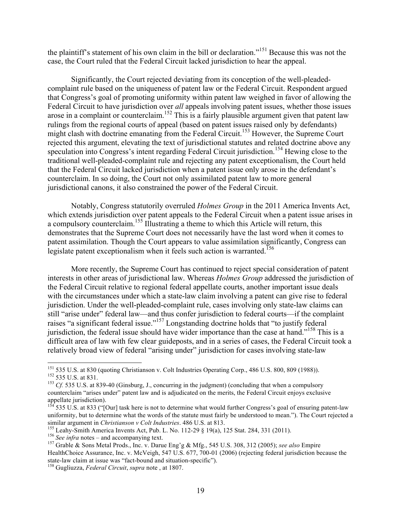the plaintiff's statement of his own claim in the bill or declaration."<sup>151</sup> Because this was not the case, the Court ruled that the Federal Circuit lacked jurisdiction to hear the appeal.

Significantly, the Court rejected deviating from its conception of the well-pleadedcomplaint rule based on the uniqueness of patent law or the Federal Circuit. Respondent argued that Congress's goal of promoting uniformity within patent law weighed in favor of allowing the Federal Circuit to have jurisdiction over *all* appeals involving patent issues, whether those issues arose in a complaint or counterclaim.<sup>152</sup> This is a fairly plausible argument given that patent law rulings from the regional courts of appeal (based on patent issues raised only by defendants) might clash with doctrine emanating from the Federal Circuit. <sup>153</sup> However, the Supreme Court rejected this argument, elevating the text of jurisdictional statutes and related doctrine above any speculation into Congress's intent regarding Federal Circuit jurisdiction.<sup>154</sup> Hewing close to the traditional well-pleaded-complaint rule and rejecting any patent exceptionalism, the Court held that the Federal Circuit lacked jurisdiction when a patent issue only arose in the defendant's counterclaim. In so doing, the Court not only assimilated patent law to more general jurisdictional canons, it also constrained the power of the Federal Circuit.

Notably, Congress statutorily overruled *Holmes Group* in the 2011 America Invents Act, which extends jurisdiction over patent appeals to the Federal Circuit when a patent issue arises in a compulsory counterclaim.<sup>155</sup> Illustrating a theme to which this Article will return, this demonstrates that the Supreme Court does not necessarily have the last word when it comes to patent assimilation. Though the Court appears to value assimilation significantly, Congress can legislate patent exceptionalism when it feels such action is warranted.<sup>156</sup>

More recently, the Supreme Court has continued to reject special consideration of patent interests in other areas of jurisdictional law. Whereas *Holmes Group* addressed the jurisdiction of the Federal Circuit relative to regional federal appellate courts, another important issue deals with the circumstances under which a state-law claim involving a patent can give rise to federal jurisdiction. Under the well-pleaded-complaint rule, cases involving only state-law claims can still "arise under" federal law—and thus confer jurisdiction to federal courts—if the complaint raises "a significant federal issue."<sup>157</sup> Longstanding doctrine holds that "to justify federal jurisdiction, the federal issue should have wider importance than the case at hand."<sup>158</sup> This is a difficult area of law with few clear guideposts, and in a series of cases, the Federal Circuit took a relatively broad view of federal "arising under" jurisdiction for cases involving state-law

<sup>&</sup>lt;sup>151</sup> 535 U.S. at 830 (quoting Christianson v. Colt Industries Operating Corp., 486 U.S. 800, 809 (1988)).<br><sup>152</sup> 535 U.S. at 831.<br><sup>153</sup> Cf. 535 U.S. at 839-40 (Ginsburg, J., concurring in the judgment) (concluding that wh

counterclaim "arises under" patent law and is adjudicated on the merits, the Federal Circuit enjoys exclusive appellate jurisdiction).

<sup>535</sup> U.S. at 833 ("[Our] task here is not to determine what would further Congress's goal of ensuring patent-law uniformity, but to determine what the words of the statute must fairly be understood to mean."). The Court rejected a similar argument in *Christianson v Colt Industries*. 486 U.S. at 813.<br><sup>155</sup> Leahy-Smith America Invents Act, Pub. L. No. 112-29 § 19(a), 125 Stat. 284, 331 (2011).<br><sup>156</sup> See infra notes – and accompanying text.<br><sup>157</sup> Gra

HealthChoice Assurance, Inc. v. McVeigh, 547 U.S. 677, 700-01 (2006) (rejecting federal jurisdiction because the state-law claim at issue was "fact-bound and situation-specific"). <sup>158</sup> Gugliuzza, *Federal Circuit*, *supra* note , at 1807.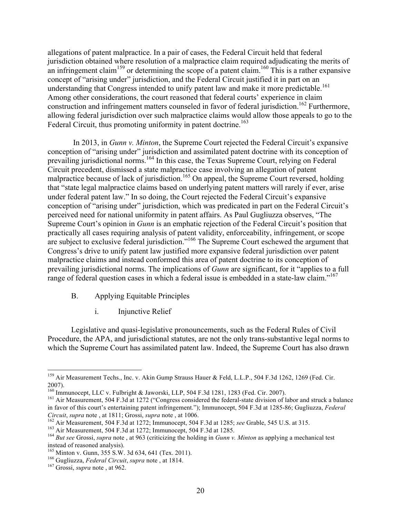allegations of patent malpractice. In a pair of cases, the Federal Circuit held that federal jurisdiction obtained where resolution of a malpractice claim required adjudicating the merits of an infringement claim<sup>159</sup> or determining the scope of a patent claim.<sup>160</sup> This is a rather expansive concept of "arising under" jurisdiction, and the Federal Circuit justified it in part on an understanding that Congress intended to unify patent law and make it more predictable. 161 Among other considerations, the court reasoned that federal courts' experience in claim construction and infringement matters counseled in favor of federal jurisdiction.<sup>162</sup> Furthermore, allowing federal jurisdiction over such malpractice claims would allow those appeals to go to the Federal Circuit, thus promoting uniformity in patent doctrine.<sup>163</sup>

In 2013, in *Gunn v. Minton*, the Supreme Court rejected the Federal Circuit's expansive conception of "arising under" jurisdiction and assimilated patent doctrine with its conception of prevailing jurisdictional norms.<sup>164</sup> In this case, the Texas Supreme Court, relying on Federal Circuit precedent, dismissed a state malpractice case involving an allegation of patent malpractice because of lack of jurisdiction.<sup>165</sup> On appeal, the Supreme Court reversed, holding that "state legal malpractice claims based on underlying patent matters will rarely if ever, arise under federal patent law." In so doing, the Court rejected the Federal Circuit's expansive conception of "arising under" jurisdiction, which was predicated in part on the Federal Circuit's perceived need for national uniformity in patent affairs. As Paul Gugliuzza observes, "The Supreme Court's opinion in *Gunn* is an emphatic rejection of the Federal Circuit's position that practically all cases requiring analysis of patent validity, enforceability, infringement, or scope are subject to exclusive federal jurisdiction."<sup>166</sup> The Supreme Court eschewed the argument that Congress's drive to unify patent law justified more expansive federal jurisdiction over patent malpractice claims and instead conformed this area of patent doctrine to its conception of prevailing jurisdictional norms. The implications of *Gunn* are significant, for it "applies to a full range of federal question cases in which a federal issue is embedded in a state-law claim."<sup>167</sup>

- B. Applying Equitable Principles
	- i. Injunctive Relief

Legislative and quasi-legislative pronouncements, such as the Federal Rules of Civil Procedure, the APA, and jurisdictional statutes, are not the only trans-substantive legal norms to which the Supreme Court has assimilated patent law. Indeed, the Supreme Court has also drawn

<sup>&</sup>lt;sup>159</sup> Air Measurement Techs., Inc. v. Akin Gump Strauss Hauer & Feld, L.L.P., 504 F.3d 1262, 1269 (Fed. Cir. 2007).<br><sup>160</sup> Immunocept, LLC v. Fulbright & Jaworski, LLP, 504 F.3d 1281, 1283 (Fed. Cir. 2007).<br><sup>161</sup> Air Measurement, 504 F.3d at 1272 ("Congress considered the federal-state division of labor and struck a balance

in favor of this court's entertaining patent infringement."); Immunocept, 504 F.3d at 1285-86; Gugliuzza, *Federal Circuit, supra* note, at 1811; Grossi, *supra* note, at 1006.<br><sup>162</sup> Air Measurement, 504 F.3d at 1272; Immunocept, 504 F.3d at 1285; *see* Grable, 545 U.S. at 315.<br><sup>163</sup> Air Measurement, 504 F.3d at 1272; Immunocept, 504

instead of reasoned analysis).

<sup>165</sup> Minton v. Gunn, 355 S.W. 3d 634, 641 (Tex. 2011). 166 Gugliuzza, *Federal Circuit*, *supra* note , at 1814. <sup>167</sup> Grossi, *supra* note , at 962.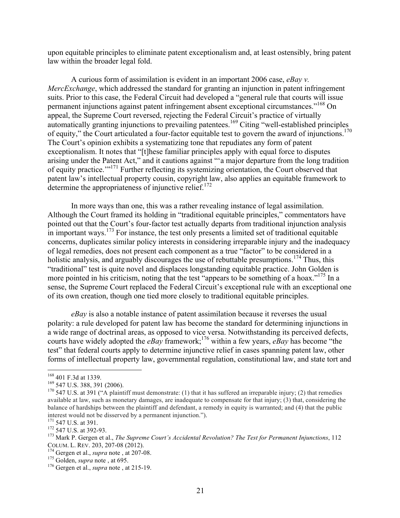upon equitable principles to eliminate patent exceptionalism and, at least ostensibly, bring patent law within the broader legal fold.

A curious form of assimilation is evident in an important 2006 case, *eBay v. MercExchange*, which addressed the standard for granting an injunction in patent infringement suits. Prior to this case, the Federal Circuit had developed a "general rule that courts will issue permanent injunctions against patent infringement absent exceptional circumstances."<sup>168</sup> On appeal, the Supreme Court reversed, rejecting the Federal Circuit's practice of virtually automatically granting injunctions to prevailing patentees.<sup>169</sup> Citing "well-established principles of equity," the Court articulated a four-factor equitable test to govern the award of injunctions.<sup>170</sup> The Court's opinion exhibits a systematizing tone that repudiates any form of patent exceptionalism. It notes that "[t]hese familiar principles apply with equal force to disputes arising under the Patent Act," and it cautions against "'a major departure from the long tradition of equity practice.'"171 Further reflecting its systemizing orientation, the Court observed that patent law's intellectual property cousin, copyright law, also applies an equitable framework to determine the appropriateness of injunctive relief.<sup>172</sup>

In more ways than one, this was a rather revealing instance of legal assimilation. Although the Court framed its holding in "traditional equitable principles," commentators have pointed out that the Court's four-factor test actually departs from traditional injunction analysis in important ways.<sup>173</sup> For instance, the test only presents a limited set of traditional equitable concerns, duplicates similar policy interests in considering irreparable injury and the inadequacy of legal remedies, does not present each component as a true "factor" to be considered in a holistic analysis, and arguably discourages the use of rebuttable presumptions.<sup>174</sup> Thus, this "traditional" test is quite novel and displaces longstanding equitable practice. John Golden is more pointed in his criticism, noting that the test "appears to be something of a hoax."<sup>175</sup> In a sense, the Supreme Court replaced the Federal Circuit's exceptional rule with an exceptional one of its own creation, though one tied more closely to traditional equitable principles.

*eBay* is also a notable instance of patent assimilation because it reverses the usual polarity: a rule developed for patent law has become the standard for determining injunctions in a wide range of doctrinal areas, as opposed to vice versa. Notwithstanding its perceived defects, courts have widely adopted the *eBay* framework; 176 within a few years, *eBay* has become "the test" that federal courts apply to determine injunctive relief in cases spanning patent law, other forms of intellectual property law, governmental regulation, constitutional law, and state tort and

<sup>&</sup>lt;sup>168</sup> 401 F.3d at 1339.<br><sup>169</sup> 547 U.S. 388, 391 (2006).<br><sup>170</sup> 547 U.S. at 391 ("A plaintiff must demonstrate: (1) that it has suffered an irreparable injury; (2) that remedies available at law, such as monetary damages, are inadequate to compensate for that injury; (3) that, considering the balance of hardships between the plaintiff and defendant, a remedy in equity is warranted; and (4) that the public

<sup>&</sup>lt;sup>171</sup> 547 U.S. at 391.<br><sup>172</sup> 547 U.S. at 392-93.<br><sup>173</sup> Mark P. Gergen et al., *The Supreme Court's Accidental Revolution? The Test for Permanent Injunctions*, 112<br>COLUM. L. REV. 203, 207-08 (2012).

<sup>&</sup>lt;sup>174</sup> Gergen et al., *supra* note , at 207-08.<br><sup>175</sup> Golden, *supra* note , at 695.<br><sup>176</sup> Gergen et al., *supra* note , at 215-19.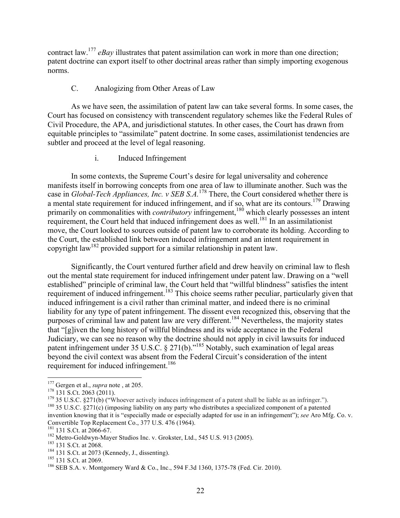contract law.177 *eBay* illustrates that patent assimilation can work in more than one direction; patent doctrine can export itself to other doctrinal areas rather than simply importing exogenous norms.

# C. Analogizing from Other Areas of Law

As we have seen, the assimilation of patent law can take several forms. In some cases, the Court has focused on consistency with transcendent regulatory schemes like the Federal Rules of Civil Procedure, the APA, and jurisdictional statutes. In other cases, the Court has drawn from equitable principles to "assimilate" patent doctrine. In some cases, assimilationist tendencies are subtler and proceed at the level of legal reasoning.

# i. Induced Infringement

In some contexts, the Supreme Court's desire for legal universality and coherence manifests itself in borrowing concepts from one area of law to illuminate another. Such was the case in *Global-Tech Appliances, Inc. v SEB S.A.*<sup>178</sup> There, the Court considered whether there is a mental state requirement for induced infringement, and if so, what are its contours.<sup>179</sup> Drawing primarily on commonalities with *contributory* infringement,<sup>180</sup> which clearly possesses an intent requirement, the Court held that induced infringement does as well.<sup>181</sup> In an assimilationist move, the Court looked to sources outside of patent law to corroborate its holding. According to the Court, the established link between induced infringement and an intent requirement in copyright law182 provided support for a similar relationship in patent law.

Significantly, the Court ventured further afield and drew heavily on criminal law to flesh out the mental state requirement for induced infringement under patent law. Drawing on a "well established" principle of criminal law, the Court held that "willful blindness" satisfies the intent requirement of induced infringement.<sup>183</sup> This choice seems rather peculiar, particularly given that induced infringement is a civil rather than criminal matter, and indeed there is no criminal liability for any type of patent infringement. The dissent even recognized this, observing that the purposes of criminal law and patent law are very different.<sup>184</sup> Nevertheless, the majority states that "[g]iven the long history of willful blindness and its wide acceptance in the Federal Judiciary, we can see no reason why the doctrine should not apply in civil lawsuits for induced patent infringement under 35 U.S.C. § 271(b)."<sup>185</sup> Notably, such examination of legal areas beyond the civil context was absent from the Federal Circuit's consideration of the intent requirement for induced infringement.<sup>186</sup>

<sup>&</sup>lt;sup>177</sup> Gergen et al., *supra* note, at 205.<br><sup>178</sup> 131 S.Ct. 2063 (2011).<br><sup>179</sup> 35 U.S.C. §271(b) ("Whoever actively induces infringement of a patent shall be liable as an infringer.").<br><sup>179</sup> 35 U.S.C. §271(c) (imposing lia

invention knowing that it is "especially made or especially adapted for use in an infringement"); *see* Aro Mfg. Co. v. Convertible Top Replacement Co., 377 U.S. 476 (1964).<br><sup>181</sup> 131 S.Ct. at 2066-67.

<sup>&</sup>lt;sup>182</sup> Metro-Goldwyn-Mayer Studios Inc. v. Grokster, Ltd., 545 U.S. 913 (2005).<br><sup>183</sup> 131 S.Ct. at 2068.<br><sup>184</sup> 131 S.Ct. at 2073 (Kennedy, J., dissenting).<br><sup>185</sup> 131 S.Ct. at 2069.<br><sup>186</sup> SEB S.A. v. Montgomery Ward & Co.,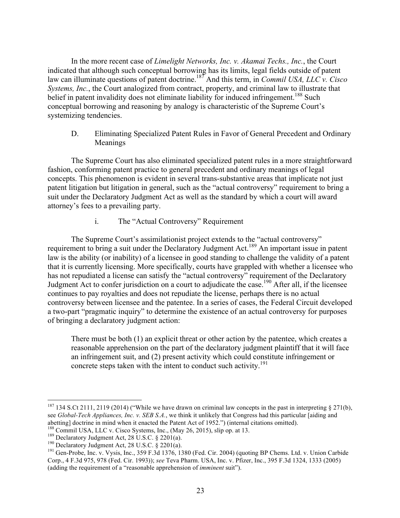In the more recent case of *Limelight Networks, Inc. v. Akamai Techs., Inc.*, the Court indicated that although such conceptual borrowing has its limits, legal fields outside of patent law can illuminate questions of patent doctrine.187 And this term, in *Commil USA, LLC v. Cisco Systems, Inc.*, the Court analogized from contract, property, and criminal law to illustrate that belief in patent invalidity does not eliminate liability for induced infringement.<sup>188</sup> Such conceptual borrowing and reasoning by analogy is characteristic of the Supreme Court's systemizing tendencies.

D. Eliminating Specialized Patent Rules in Favor of General Precedent and Ordinary Meanings

The Supreme Court has also eliminated specialized patent rules in a more straightforward fashion, conforming patent practice to general precedent and ordinary meanings of legal concepts. This phenomenon is evident in several trans-substantive areas that implicate not just patent litigation but litigation in general, such as the "actual controversy" requirement to bring a suit under the Declaratory Judgment Act as well as the standard by which a court will award attorney's fees to a prevailing party.

i. The "Actual Controversy" Requirement

The Supreme Court's assimilationist project extends to the "actual controversy" requirement to bring a suit under the Declaratory Judgment Act.<sup>189</sup> An important issue in patent law is the ability (or inability) of a licensee in good standing to challenge the validity of a patent that it is currently licensing. More specifically, courts have grappled with whether a licensee who has not repudiated a license can satisfy the "actual controversy" requirement of the Declaratory Judgment Act to confer jurisdiction on a court to adjudicate the case.<sup>190</sup> After all, if the licensee continues to pay royalties and does not repudiate the license, perhaps there is no actual controversy between licensee and the patentee. In a series of cases, the Federal Circuit developed a two-part "pragmatic inquiry" to determine the existence of an actual controversy for purposes of bringing a declaratory judgment action:

There must be both (1) an explicit threat or other action by the patentee, which creates a reasonable apprehension on the part of the declaratory judgment plaintiff that it will face an infringement suit, and (2) present activity which could constitute infringement or concrete steps taken with the intent to conduct such activity.<sup>191</sup>

<sup>&</sup>lt;sup>187</sup> 134 S.Ct 2111, 2119 (2014) ("While we have drawn on criminal law concepts in the past in interpreting § 271(b), see *Global-Tech Appliances, Inc. v. SEB S.A.*, we think it unlikely that Congress had this particular [aiding and abetting] doctrine in mind when it enacted the Patent Act of 1952.") (internal citations omitted).<br><sup>188</sup> Commil USA, LLC v. Cisco Systems, Inc., (May 26, 2015), slip op. at 13.<br><sup>189</sup> Declaratory Judgment Act, 28 U.S.C. § 2

Corp., 4 F.3d 975, 978 (Fed. Cir. 1993)); *see* Teva Pharm. USA, Inc. v. Pfizer, Inc., 395 F.3d 1324, 1333 (2005) (adding the requirement of a "reasonable apprehension of *imminent* suit").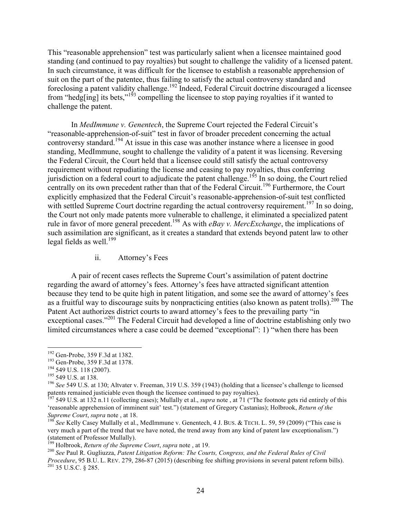This "reasonable apprehension" test was particularly salient when a licensee maintained good standing (and continued to pay royalties) but sought to challenge the validity of a licensed patent. In such circumstance, it was difficult for the licensee to establish a reasonable apprehension of suit on the part of the patentee, thus failing to satisfy the actual controversy standard and foreclosing a patent validity challenge.<sup>192</sup> Indeed, Federal Circuit doctrine discouraged a licensee from "hedg[ing] its bets,"<sup>193</sup> compelling the licensee to stop paying royalties if it wanted to challenge the patent.

In *MedImmune v. Genentech*, the Supreme Court rejected the Federal Circuit's "reasonable-apprehension-of-suit" test in favor of broader precedent concerning the actual controversy standard.<sup>194</sup> At issue in this case was another instance where a licensee in good standing, MedImmune, sought to challenge the validity of a patent it was licensing. Reversing the Federal Circuit, the Court held that a licensee could still satisfy the actual controversy requirement without repudiating the license and ceasing to pay royalties, thus conferring jurisdiction on a federal court to adjudicate the patent challenge.<sup>195</sup> In so doing, the Court relied centrally on its own precedent rather than that of the Federal Circuit.<sup>196</sup> Furthermore, the Court explicitly emphasized that the Federal Circuit's reasonable-apprehension-of-suit test conflicted with settled Supreme Court doctrine regarding the actual controversy requirement.<sup>197</sup> In so doing, the Court not only made patents more vulnerable to challenge, it eliminated a specialized patent rule in favor of more general precedent.198 As with *eBay v. MercExchange*, the implications of such assimilation are significant, as it creates a standard that extends beyond patent law to other legal fields as well.<sup>199</sup>

ii. Attorney's Fees

A pair of recent cases reflects the Supreme Court's assimilation of patent doctrine regarding the award of attorney's fees. Attorney's fees have attracted significant attention because they tend to be quite high in patent litigation, and some see the award of attorney's fees as a fruitful way to discourage suits by nonpracticing entities (also known as patent trolls).<sup>200</sup> The Patent Act authorizes district courts to award attorney's fees to the prevailing party "in exceptional cases."<sup>201</sup> The Federal Circuit had developed a line of doctrine establishing only two limited circumstances where a case could be deemed "exceptional": 1) "when there has been

<sup>&</sup>lt;sup>192</sup> Gen-Probe, 359 F.3d at 1382.<br><sup>193</sup> Gen-Probe, 359 F.3d at 1378.<br><sup>194</sup> 549 U.S. 118 (2007).<br><sup>194</sup> 549 U.S. at 138.<br><sup>196</sup> *See* 549 U.S. at 130; Altvater v. Freeman, 319 U.S. 359 (1943) (holding that a licensee's chal

<sup>&</sup>lt;sup>197</sup> 549 U.S. at 132 n.11 (collecting cases); Mullally et al., *supra* note, at 71 ("The footnote gets rid entirely of this 'reasonable apprehension of imminent suit' test.") (statement of Gregory Castanias); Holbrook, *Return of the Supreme Court, supra* note, at 18.<br><sup>198</sup> *See* Kelly Casey Mullally et al., MedImmune v. Genentech, 4 J. BUS. & TECH. L. 59, 59 (2009) ("This case is

very much a part of the trend that we have noted, the trend away from any kind of patent law exceptionalism.") (statement of Professor Mullally).<br><sup>199</sup> Holbrook, *Return of the Supreme Court*, *supra* note, at 19.

<sup>&</sup>lt;sup>200</sup> See Paul R. Gugliuzza, *Patent Litigation Reform: The Courts, Congress, and the Federal Rules of Civil Procedure*, 95 B.U. L. REV. 279, 286-87 (2015) (describing fee shifting provisions in several patent reform bills). <sup>201</sup> 35 U.S.C. § 285.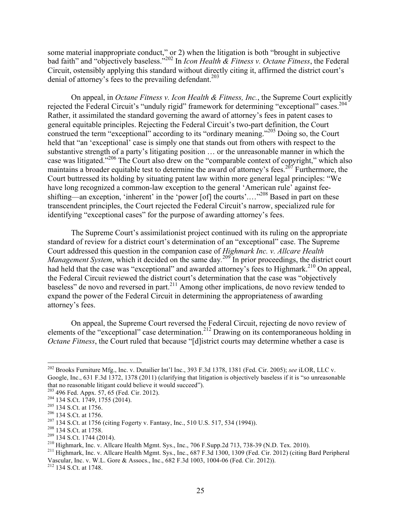some material inappropriate conduct," or 2) when the litigation is both "brought in subjective bad faith" and "objectively baseless."202 In *Icon Health & Fitness v. Octane Fitness*, the Federal Circuit, ostensibly applying this standard without directly citing it, affirmed the district court's denial of attorney's fees to the prevailing defendant.<sup>203</sup>

On appeal, in *Octane Fitness v. Icon Health & Fitness, Inc.*, the Supreme Court explicitly rejected the Federal Circuit's "unduly rigid" framework for determining "exceptional" cases.<sup>204</sup> Rather, it assimilated the standard governing the award of attorney's fees in patent cases to general equitable principles. Rejecting the Federal Circuit's two-part definition, the Court construed the term "exceptional" according to its "ordinary meaning."<sup>205</sup> Doing so, the Court held that "an 'exceptional' case is simply one that stands out from others with respect to the substantive strength of a party's litigating position … or the unreasonable manner in which the case was litigated."206 The Court also drew on the "comparable context of copyright," which also maintains a broader equitable test to determine the award of attorney's fees.<sup>207</sup> Furthermore, the Court buttressed its holding by situating patent law within more general legal principles: "We have long recognized a common-law exception to the general 'American rule' against feeshifting—an exception, 'inherent' in the 'power [of] the courts'...."<sup>208</sup> Based in part on these transcendent principles, the Court rejected the Federal Circuit's narrow, specialized rule for identifying "exceptional cases" for the purpose of awarding attorney's fees.

The Supreme Court's assimilationist project continued with its ruling on the appropriate standard of review for a district court's determination of an "exceptional" case. The Supreme Court addressed this question in the companion case of *Highmark Inc. v. Allcare Health Management System*, which it decided on the same day.<sup>209</sup> In prior proceedings, the district court had held that the case was "exceptional" and awarded attorney's fees to Highmark.<sup>210</sup> On appeal, the Federal Circuit reviewed the district court's determination that the case was "objectively baseless" de novo and reversed in part.<sup>211</sup> Among other implications, de novo review tended to expand the power of the Federal Circuit in determining the appropriateness of awarding attorney's fees.

On appeal, the Supreme Court reversed the Federal Circuit, rejecting de novo review of elements of the "exceptional" case determination.<sup>212</sup> Drawing on its contemporaneous holding in *Octane Fitness*, the Court ruled that because "[d]istrict courts may determine whether a case is

 <sup>202</sup> Brooks Furniture Mfg., Inc. v. Dutailier Int'l Inc., 393 F.3d 1378, 1381 (Fed. Cir. 2005); *see* iLOR, LLC v. Google, Inc., 631 F.3d 1372, 1378 (2011) (clarifying that litigation is objectively baseless if it is "so unreasonable that no reasonable litigant could believe it would succeed").<br><sup>203</sup> 496 Fed. Appx. 57, 65 (Fed. Cir. 2012).

<sup>204 134</sup> S.Ct. 1749, 1755 (2014).<br>
205 134 S.Ct. at 1756.<br>
206 134 S.Ct. at 1756.<br>
207 134 S.Ct. at 1756.<br>
207 134 S.Ct. at 1756.<br>
208 134 S.Ct. at 1758.<br>
209 134 S.Ct. at 1758.<br>
209 134 S.Ct. at 1758.<br>
209 134 S.Ct. 1744 (

Vascular, Inc. v. W.L. Gore & Assocs., Inc., 682 F.3d 1003, 1004-06 (Fed. Cir. 2012)). 212 134 S.Ct. at 1748.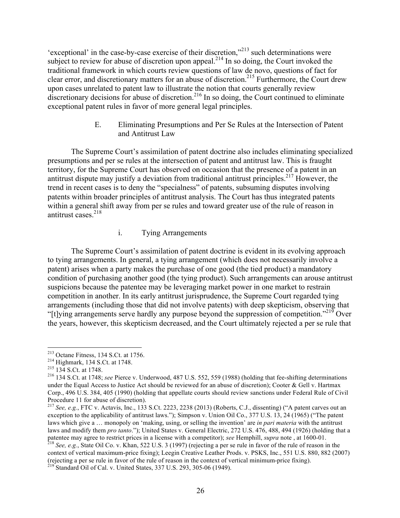'exceptional' in the case-by-case exercise of their discretion,"<sup>213</sup> such determinations were subject to review for abuse of discretion upon appeal.<sup>214</sup> In so doing, the Court invoked the traditional framework in which courts review questions of law de novo, questions of fact for clear error, and discretionary matters for an abuse of discretion.215 Furthermore, the Court drew upon cases unrelated to patent law to illustrate the notion that courts generally review discretionary decisions for abuse of discretion.<sup>216</sup> In so doing, the Court continued to eliminate exceptional patent rules in favor of more general legal principles.

> E. Eliminating Presumptions and Per Se Rules at the Intersection of Patent and Antitrust Law

The Supreme Court's assimilation of patent doctrine also includes eliminating specialized presumptions and per se rules at the intersection of patent and antitrust law. This is fraught territory, for the Supreme Court has observed on occasion that the presence of a patent in an antitrust dispute may justify a deviation from traditional antitrust principles.<sup>217</sup> However, the trend in recent cases is to deny the "specialness" of patents, subsuming disputes involving patents within broader principles of antitrust analysis. The Court has thus integrated patents within a general shift away from per se rules and toward greater use of the rule of reason in antitrust cases. 218

# i. Tying Arrangements

The Supreme Court's assimilation of patent doctrine is evident in its evolving approach to tying arrangements. In general, a tying arrangement (which does not necessarily involve a patent) arises when a party makes the purchase of one good (the tied product) a mandatory condition of purchasing another good (the tying product). Such arrangements can arouse antitrust suspicions because the patentee may be leveraging market power in one market to restrain competition in another. In its early antitrust jurisprudence, the Supreme Court regarded tying arrangements (including those that did not involve patents) with deep skepticism, observing that "[t] ving arrangements serve hardly any purpose beyond the suppression of competition."<sup>219</sup> Over

the years, however, this skepticism decreased, and the Court ultimately rejected a per se rule that

context of vertical maximum-price fixing); Leegin Creative Leather Prods. v. PSKS, Inc., 551 U.S. 880, 882 (2007) (rejecting a per se rule in favor of the rule of reason in the context of vertical minimum-price fixing). 219 Standard Oil of Cal. v. United States, 337 U.S. 293, 305-06 (1949).

<sup>&</sup>lt;sup>213</sup> Octane Fitness, 134 S.Ct. at 1756.<br><sup>214</sup> Highmark, 134 S.Ct. at 1748.<br><sup>215</sup> 134 S.Ct. at 1748; *see* Pierce v. Underwood, 487 U.S. 552, 559 (1988) (holding that fee-shifting determinations under the Equal Access to Justice Act should be reviewed for an abuse of discretion); Cooter & Gell v. Hartmax Corp., 496 U.S. 384, 405 (1990) (holding that appellate courts should review sanctions under Federal Rule of Civil Procedure 11 for abuse of discretion).

<sup>217</sup> *See, e.g.*, FTC v. Actavis, Inc., 133 S.Ct. 2223, 2238 (2013) (Roberts, C.J., dissenting) ("A patent carves out an exception to the applicability of antitrust laws."); Simpson v. Union Oil Co., 377 U.S. 13, 24 (1965) ("The patent laws which give a … monopoly on 'making, using, or selling the invention' are *in pari materia* with the antitrust laws and modify them *pro tanto*."); United States v. General Electric, 272 U.S. 476, 488, 494 (1926) (holding that a patentee may agree to restrict prices in a license with a competitor); see Hemphill, supra note, at 1600-01.<br><sup>218</sup> See, e.g., State Oil Co. v. Khan, 522 U.S. 3 (1997) (rejecting a per se rule in favor of the rule of reason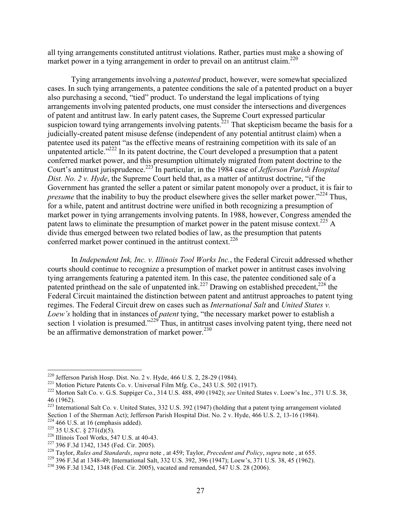all tying arrangements constituted antitrust violations. Rather, parties must make a showing of market power in a tying arrangement in order to prevail on an antitrust claim.<sup>220</sup>

Tying arrangements involving a *patented* product, however, were somewhat specialized cases. In such tying arrangements, a patentee conditions the sale of a patented product on a buyer also purchasing a second, "tied" product. To understand the legal implications of tying arrangements involving patented products, one must consider the intersections and divergences of patent and antitrust law. In early patent cases, the Supreme Court expressed particular suspicion toward tying arrangements involving patents.<sup>221</sup> That skepticism became the basis for a judicially-created patent misuse defense (independent of any potential antitrust claim) when a patentee used its patent "as the effective means of restraining competition with its sale of an unpatented article."<sup>222</sup> In its patent doctrine, the Court developed a presumption that a patent conferred market power, and this presumption ultimately migrated from patent doctrine to the Court's antitrust jurisprudence.<sup>223</sup> In particular, in the 1984 case of *Jefferson Parish Hospital Dist. No. 2 v. Hyde*, the Supreme Court held that, as a matter of antitrust doctrine, "if the Government has granted the seller a patent or similar patent monopoly over a product, it is fair to *presume* that the inability to buy the product elsewhere gives the seller market power.<sup>324</sup> Thus, for a while, patent and antitrust doctrine were unified in both recognizing a presumption of market power in tying arrangements involving patents. In 1988, however, Congress amended the patent laws to eliminate the presumption of market power in the patent misuse context.<sup>225</sup> A divide thus emerged between two related bodies of law, as the presumption that patents conferred market power continued in the antitrust context.<sup>226</sup>

In *Independent Ink, Inc. v. Illinois Tool Works Inc.*, the Federal Circuit addressed whether courts should continue to recognize a presumption of market power in antitrust cases involving tying arrangements featuring a patented item. In this case, the patentee conditioned sale of a patented printhead on the sale of unpatented ink.<sup>227</sup> Drawing on established precedent,<sup>228</sup> the Federal Circuit maintained the distinction between patent and antitrust approaches to patent tying regimes. The Federal Circuit drew on cases such as *International Salt* and *United States v. Loew's* holding that in instances of *patent* tying, "the necessary market power to establish a section 1 violation is presumed."<sup>229</sup> Thus, in antitrust cases involving patent tying, there need not be an affirmative demonstration of market power.<sup>230</sup>

<sup>&</sup>lt;sup>220</sup> Jefferson Parish Hosp. Dist. No. 2 v. Hyde, 466 U.S. 2, 28-29 (1984).<br><sup>221</sup> Motion Picture Patents Co. v. Universal Film Mfg. Co., 243 U.S. 502 (1917).<br><sup>222</sup> Morton Salt Co. v. G.S. Suppiger Co., 314 U.S. 488, 490 ( 46 (1962).

<sup>&</sup>lt;sup>223</sup> International Salt Co. v. United States, 332 U.S. 392 (1947) (holding that a patent tying arrangement violated Section 1 of the Sherman Act); Jefferson Parish Hospital Dist. No. 2 v. Hyde, 466 U.S. 2, 13-16 (1984).

<sup>&</sup>lt;sup>224</sup> 466 U.S. at 16 (emphasis added).<br>
<sup>225</sup> 35 U.S.C. § 271(d)(5).<br>
<sup>226</sup> Illinois Tool Works, 547 U.S. at 40-43.<br>
<sup>227</sup> 396 F.3d 1342, 1345 (Fed. Cir. 2005).<br>
<sup>228</sup> Taylor, *Rules and Standards*, *supra* note , at 459;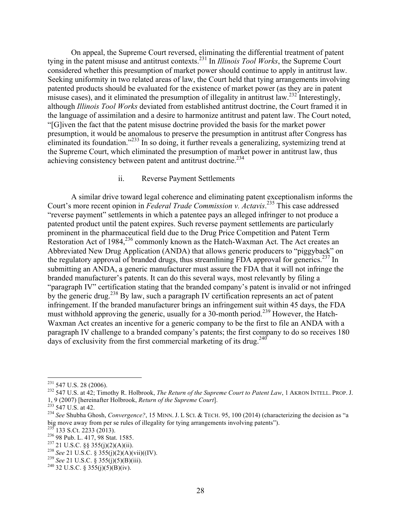On appeal, the Supreme Court reversed, eliminating the differential treatment of patent tying in the patent misuse and antitrust contexts.<sup>231</sup> In *Illinois Tool Works*, the Supreme Court considered whether this presumption of market power should continue to apply in antitrust law. Seeking uniformity in two related areas of law, the Court held that tying arrangements involving patented products should be evaluated for the existence of market power (as they are in patent misuse cases), and it eliminated the presumption of illegality in antitrust law.<sup>232</sup> Interestingly, although *Illinois Tool Works* deviated from established antitrust doctrine, the Court framed it in the language of assimilation and a desire to harmonize antitrust and patent law. The Court noted, "[G]iven the fact that the patent misuse doctrine provided the basis for the market power presumption, it would be anomalous to preserve the presumption in antitrust after Congress has eliminated its foundation."<sup>233</sup> In so doing, it further reveals a generalizing, systemizing trend at the Supreme Court, which eliminated the presumption of market power in antitrust law, thus achieving consistency between patent and antitrust doctrine.<sup>234</sup>

#### ii. Reverse Payment Settlements

A similar drive toward legal coherence and eliminating patent exceptionalism informs the Court's more recent opinion in *Federal Trade Commission v. Actavis*. <sup>235</sup> This case addressed "reverse payment" settlements in which a patentee pays an alleged infringer to not produce a patented product until the patent expires. Such reverse payment settlements are particularly prominent in the pharmaceutical field due to the Drug Price Competition and Patent Term Restoration Act of 1984,<sup>236</sup> commonly known as the Hatch-Waxman Act. The Act creates an Abbreviated New Drug Application (ANDA) that allows generic producers to "piggyback" on the regulatory approval of branded drugs, thus streamlining FDA approval for generics.<sup>237</sup> In submitting an ANDA, a generic manufacturer must assure the FDA that it will not infringe the branded manufacturer's patents. It can do this several ways, most relevantly by filing a "paragraph IV" certification stating that the branded company's patent is invalid or not infringed by the generic drug.<sup>238</sup> By law, such a paragraph IV certification represents an act of patent infringement. If the branded manufacturer brings an infringement suit within 45 days, the FDA must withhold approving the generic, usually for a 30-month period.<sup>239</sup> However, the Hatch-Waxman Act creates an incentive for a generic company to be the first to file an ANDA with a paragraph IV challenge to a branded company's patents; the first company to do so receives 180 days of exclusivity from the first commercial marketing of its drug.<sup>240</sup>

<sup>&</sup>lt;sup>231</sup> 547 U.S. 28 (2006).<br><sup>232</sup> 547 U.S. at 42; Timothy R. Holbrook, *The Return of the Supreme Court to Patent Law*, 1 AKRON INTELL. PROP. J.<br>1, 9 (2007) [hereinafter Holbrook, *Return of the Supreme Court*].<br><sup>233</sup> 547 U.

<sup>&</sup>lt;sup>234</sup> See Shubha Ghosh, *Convergence*?, 15 MINN. J. L SCI. & TECH. 95, 100 (2014) (characterizing the decision as "a big move away from per se rules of illegality for tying arrangements involving patents").<br><sup>235</sup> 133 S.Ct. 2233 (2013).

<sup>&</sup>lt;sup>236</sup> 98 Pub. L. 417, 98 Stat. 1585.<br><sup>237</sup> 21 U.S.C. §§ 355(j)(2)(A)(ii).<br><sup>238</sup> See 21 U.S.C. § 355(j)(2)(A)(vii)((IV).<br><sup>238</sup> See 21 U.S.C. § 355(j)(5)(B)(iii).<br><sup>240</sup> 32 U.S.C. § 355(j)(5)(B)(iv).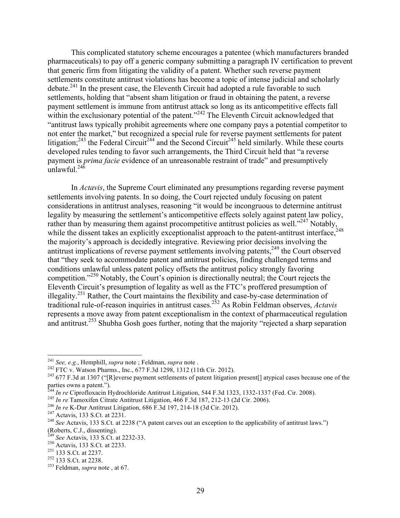This complicated statutory scheme encourages a patentee (which manufacturers branded pharmaceuticals) to pay off a generic company submitting a paragraph IV certification to prevent that generic firm from litigating the validity of a patent. Whether such reverse payment settlements constitute antitrust violations has become a topic of intense judicial and scholarly debate.<sup>241</sup> In the present case, the Eleventh Circuit had adopted a rule favorable to such settlements, holding that "absent sham litigation or fraud in obtaining the patent, a reverse payment settlement is immune from antitrust attack so long as its anticompetitive effects fall within the exclusionary potential of the patent."<sup>242</sup> The Eleventh Circuit acknowledged that "antitrust laws typically prohibit agreements where one company pays a potential competitor to not enter the market," but recognized a special rule for reverse payment settlements for patent litigation;<sup>243</sup> the Federal Circuit<sup>244</sup> and the Second Circuit<sup>245</sup> held similarly. While these courts developed rules tending to favor such arrangements, the Third Circuit held that "a reverse payment is *prima facie* evidence of an unreasonable restraint of trade" and presumptively unlawful. $^{245}$ 

In *Actavis*, the Supreme Court eliminated any presumptions regarding reverse payment settlements involving patents. In so doing, the Court rejected unduly focusing on patent considerations in antitrust analyses, reasoning "it would be incongruous to determine antitrust legality by measuring the settlement's anticompetitive effects solely against patent law policy, rather than by measuring them against procompetitive antitrust policies as well."<sup>247</sup> Notably, while the dissent takes an explicitly exceptionalist approach to the patent-antitrust interface,  $^{248}$ the majority's approach is decidedly integrative. Reviewing prior decisions involving the antitrust implications of reverse payment settlements involving patents, $249$  the Court observed that "they seek to accommodate patent and antitrust policies, finding challenged terms and conditions unlawful unless patent policy offsets the antitrust policy strongly favoring competition."<sup>250</sup> Notably, the Court's opinion is directionally neutral; the Court rejects the Eleventh Circuit's presumption of legality as well as the FTC's proffered presumption of illegality.251 Rather, the Court maintains the flexibility and case-by-case determination of traditional rule-of-reason inquiries in antitrust cases. <sup>252</sup> As Robin Feldman observes, *Actavis* represents a move away from patent exceptionalism in the context of pharmaceutical regulation and antitrust.<sup>253</sup> Shubha Gosh goes further, noting that the majority "rejected a sharp separation

<sup>&</sup>lt;sup>241</sup> See, e.g., Hemphill, supra note ; Feldman, supra note .<br><sup>242</sup> FTC v. Watson Pharms., Inc., 677 F.3d 1298, 1312 (11th Cir. 2012).<br><sup>243</sup> 677 F.3d at 1307 ("[R]everse payment settlements of patent litigation present[] parties owns a patent.").<br><sup>244</sup> In re Ciprofloxacin Hydrochloride Antitrust Litigation, 544 F.3d 1323, 1332-1337 (Fed. Cir. 2008).

<sup>&</sup>lt;sup>245</sup> *In re* Tamoxifen Citrate Antitrust Litigation, 466 F.3d 187, 212-13 (2d Cir. 2006).<br><sup>246</sup> *In re* K-Dur Antitrust Litigation, 686 F.3d 197, 214-18 (3d Cir. 2012).<br><sup>247</sup> Actavis, 133 S.Ct. at 2231.<br><sup>248</sup> *See* Actav (Roberts, C.J., dissenting). <sup>249</sup> *See* Actavis, 133 S.Ct. at 2232-33. <sup>250</sup> Actavis, 133 S.Ct. at 2233. <sup>251</sup> 133 S.Ct. at 2237. <sup>252</sup> 133 S.Ct. at 2238. <sup>253</sup> Feldman, *supra* note , at 67.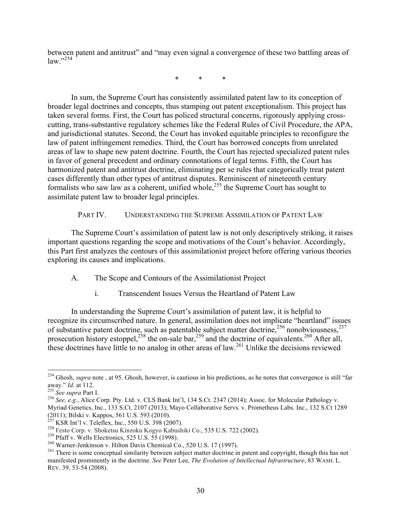between patent and antitrust" and "may even signal a convergence of these two battling areas of  $law$ <sup>"254</sup>

\* \* \*

In sum, the Supreme Court has consistently assimilated patent law to its conception of broader legal doctrines and concepts, thus stamping out patent exceptionalism. This project has taken several forms. First, the Court has policed structural concerns, rigorously applying crosscutting, trans-substantive regulatory schemes like the Federal Rules of Civil Procedure, the APA, and jurisdictional statutes. Second, the Court has invoked equitable principles to reconfigure the law of patent infringement remedies. Third, the Court has borrowed concepts from unrelated areas of law to shape new patent doctrine. Fourth, the Court has rejected specialized patent rules in favor of general precedent and ordinary connotations of legal terms. Fifth, the Court has harmonized patent and antitrust doctrine, eliminating per se rules that categorically treat patent cases differently than other types of antitrust disputes. Reminiscent of nineteenth century formalists who saw law as a coherent, unified whole,<sup>255</sup> the Supreme Court has sought to assimilate patent law to broader legal principles.

PART IV. UNDERSTANDING THE SUPREME ASSIMILATION OF PATENT LAW

The Supreme Court's assimilation of patent law is not only descriptively striking, it raises important questions regarding the scope and motivations of the Court's behavior. Accordingly, this Part first analyzes the contours of this assimilationist project before offering various theories exploring its causes and implications.

- A. The Scope and Contours of the Assimilationist Project
	- i. Transcendent Issues Versus the Heartland of Patent Law

In understanding the Supreme Court's assimilation of patent law, it is helpful to recognize its circumscribed nature. In general, assimilation does not implicate "heartland" issues of substantive patent doctrine, such as patentable subject matter doctrine,<sup>256</sup> nonobviousness,<sup>257</sup> prosecution history estoppel,<sup>258</sup> the on-sale bar,<sup>259</sup> and the doctrine of equivalents.<sup>260</sup> After all, these doctrines have little to no analog in other areas of law.<sup>261</sup> Unlike the decisions reviewed

<sup>&</sup>lt;sup>254</sup> Ghosh, *supra* note, at 95. Ghosh, however, is cautious in his predictions, as he notes that convergence is still "far away." *Id.* at 112.

away." *Id.* at 112.<br><sup>255</sup> *See supra* Part I.<br><sup>256</sup> *See, e.g.*, Alice Corp. Pty. Ltd. v. CLS Bank Int'l, 134 S.Ct. 2347 (2014); Assoc. for Molecular Pathology v. Myriad Genetics, Inc., 133 S.Ct. 2107 (2013); Mayo Collaborative Servs. v. Prometheus Labs. Inc., 132 S.Ct 1289 (2011); Bilski v. Kappos, 561 U.S. 593 (2010).<br><sup>257</sup> KSR Int'l v. Teleflex, Inc., 550 U.S. 398 (2007).

<sup>&</sup>lt;sup>258</sup> Festo Corp. v. Shoketsu Kinzoku Kogyo Kabushiki Co., 535 U.S. 722 (2002).<br><sup>259</sup> Pfaff v. Wells Electronics, 525 U.S. 55 (1998).<br><sup>260</sup> Warner-Jenkinson v. Hilton Davis Chemical Co., 520 U.S. 17 (1997).<br><sup>261</sup> There is manifested prominently in the doctrine. *See* Peter Lee, *The Evolution of Intellectual Infrastructure*, 83 WASH. L. REV. 39, 53-54 (2008).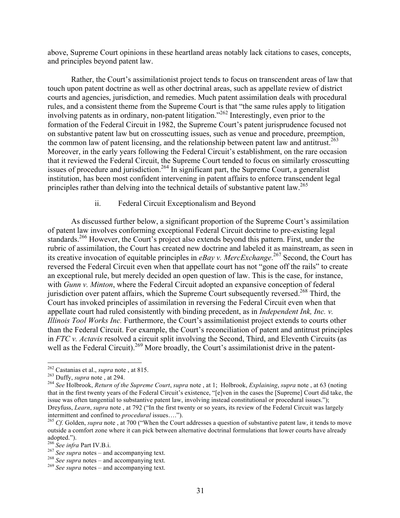above, Supreme Court opinions in these heartland areas notably lack citations to cases, concepts, and principles beyond patent law.

Rather, the Court's assimilationist project tends to focus on transcendent areas of law that touch upon patent doctrine as well as other doctrinal areas, such as appellate review of district courts and agencies, jurisdiction, and remedies. Much patent assimilation deals with procedural rules, and a consistent theme from the Supreme Court is that "the same rules apply to litigation involving patents as in ordinary, non-patent litigation."<sup>262</sup> Interestingly, even prior to the formation of the Federal Circuit in 1982, the Supreme Court's patent jurisprudence focused not on substantive patent law but on crosscutting issues, such as venue and procedure, preemption, the common law of patent licensing, and the relationship between patent law and antitrust.<sup>263</sup> Moreover, in the early years following the Federal Circuit's establishment, on the rare occasion that it reviewed the Federal Circuit, the Supreme Court tended to focus on similarly crosscutting issues of procedure and jurisdiction.<sup>264</sup> In significant part, the Supreme Court, a generalist institution, has been most confident intervening in patent affairs to enforce transcendent legal principles rather than delving into the technical details of substantive patent law.<sup>265</sup>

### ii. Federal Circuit Exceptionalism and Beyond

As discussed further below, a significant proportion of the Supreme Court's assimilation of patent law involves conforming exceptional Federal Circuit doctrine to pre-existing legal standards.<sup>266</sup> However, the Court's project also extends beyond this pattern. First, under the rubric of assimilation, the Court has created new doctrine and labeled it as mainstream, as seen in its creative invocation of equitable principles in *eBay v. MercExchange*. <sup>267</sup> Second, the Court has reversed the Federal Circuit even when that appellate court has not "gone off the rails" to create an exceptional rule, but merely decided an open question of law. This is the case, for instance, with *Gunn v. Minton*, where the Federal Circuit adopted an expansive conception of federal jurisdiction over patent affairs, which the Supreme Court subsequently reversed.<sup>268</sup> Third, the Court has invoked principles of assimilation in reversing the Federal Circuit even when that appellate court had ruled consistently with binding precedent, as in *Independent Ink, Inc. v. Illinois Tool Works Inc.* Furthermore, the Court's assimilationist project extends to courts other than the Federal Circuit. For example, the Court's reconciliation of patent and antitrust principles in *FTC v. Actavis* resolved a circuit split involving the Second, Third, and Eleventh Circuits (as well as the Federal Circuit).<sup>269</sup> More broadly, the Court's assimilationist drive in the patent-

<sup>&</sup>lt;sup>262</sup> Castanias et al., *supra* note, at 815.<br><sup>263</sup> Duffy, *supra* note, at 294.<br><sup>264</sup> See Holbrook, *Return of the Supreme Court, supra* note, at 1; Holbrook, *Explaining, supra* note, at 63 (noting that in the first twenty years of the Federal Circuit's existence, "[e]ven in the cases the [Supreme] Court did take, the issue was often tangential to substantive patent law, involving instead constitutional or procedural issues."); Dreyfuss, *Learn*, *supra* note , at 792 ("In the first twenty or so years, its review of the Federal Circuit was largely intermittent and confined to *procedural* issues…."). <sup>265</sup> *Cf.* Golden, *supra* note , at 700 ("When the Court addresses a question of substantive patent law, it tends to move

outside a comfort zone where it can pick between alternative doctrinal formulations that lower courts have already adopted.").<br><sup>266</sup> See infra Part IV.B.i.

<sup>&</sup>lt;sup>267</sup> *See supra* notes – and accompanying text.<br><sup>268</sup> *See supra* notes – and accompanying text.<br><sup>269</sup> *See supra* notes – and accompanying text.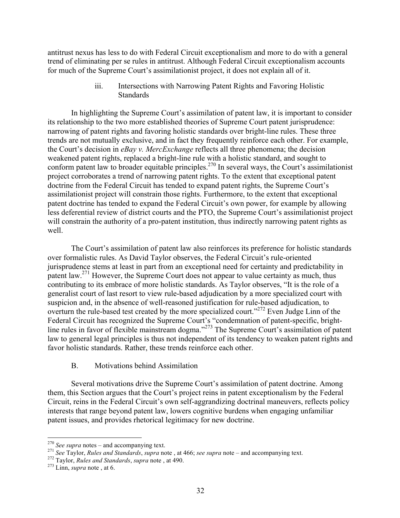antitrust nexus has less to do with Federal Circuit exceptionalism and more to do with a general trend of eliminating per se rules in antitrust. Although Federal Circuit exceptionalism accounts for much of the Supreme Court's assimilationist project, it does not explain all of it.

> iii. Intersections with Narrowing Patent Rights and Favoring Holistic **Standards**

In highlighting the Supreme Court's assimilation of patent law, it is important to consider its relationship to the two more established theories of Supreme Court patent jurisprudence: narrowing of patent rights and favoring holistic standards over bright-line rules. These three trends are not mutually exclusive, and in fact they frequently reinforce each other. For example, the Court's decision in *eBay v. MercExchange* reflects all three phenomena; the decision weakened patent rights, replaced a bright-line rule with a holistic standard, and sought to conform patent law to broader equitable principles.<sup>270</sup> In several ways, the Court's assimilationist project corroborates a trend of narrowing patent rights. To the extent that exceptional patent doctrine from the Federal Circuit has tended to expand patent rights, the Supreme Court's assimilationist project will constrain those rights. Furthermore, to the extent that exceptional patent doctrine has tended to expand the Federal Circuit's own power, for example by allowing less deferential review of district courts and the PTO, the Supreme Court's assimilationist project will constrain the authority of a pro-patent institution, thus indirectly narrowing patent rights as well.

The Court's assimilation of patent law also reinforces its preference for holistic standards over formalistic rules. As David Taylor observes, the Federal Circuit's rule-oriented jurisprudence stems at least in part from an exceptional need for certainty and predictability in patent law.<sup>271</sup> However, the Supreme Court does not appear to value certainty as much, thus contributing to its embrace of more holistic standards. As Taylor observes, "It is the role of a generalist court of last resort to view rule-based adjudication by a more specialized court with suspicion and, in the absence of well-reasoned justification for rule-based adjudication, to overturn the rule-based test created by the more specialized court."<sup>272</sup> Even Judge Linn of the Federal Circuit has recognized the Supreme Court's "condemnation of patent-specific, brightline rules in favor of flexible mainstream dogma."<sup>273</sup> The Supreme Court's assimilation of patent law to general legal principles is thus not independent of its tendency to weaken patent rights and favor holistic standards. Rather, these trends reinforce each other.

## B. Motivations behind Assimilation

Several motivations drive the Supreme Court's assimilation of patent doctrine. Among them, this Section argues that the Court's project reins in patent exceptionalism by the Federal Circuit, reins in the Federal Circuit's own self-aggrandizing doctrinal maneuvers, reflects policy interests that range beyond patent law, lowers cognitive burdens when engaging unfamiliar patent issues, and provides rhetorical legitimacy for new doctrine.

<sup>&</sup>lt;sup>270</sup> See supra notes – and accompanying text.<br><sup>271</sup> See Taylor, *Rules and Standards*, *supra* note, at 466; *see supra* note – and accompanying text.<br><sup>272</sup> Taylor, *Rules and Standards*, *supra* note, at 490.<br><sup>273</sup> Linn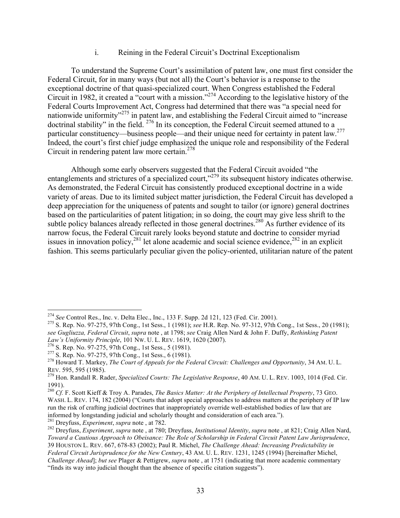## i. Reining in the Federal Circuit's Doctrinal Exceptionalism

To understand the Supreme Court's assimilation of patent law, one must first consider the Federal Circuit, for in many ways (but not all) the Court's behavior is a response to the exceptional doctrine of that quasi-specialized court. When Congress established the Federal Circuit in 1982, it created a "court with a mission."274 According to the legislative history of the Federal Courts Improvement Act, Congress had determined that there was "a special need for nationwide uniformity<sup>3275</sup> in patent law, and establishing the Federal Circuit aimed to "increase doctrinal stability" in the field. <sup>276</sup> In its conception, the Federal Circuit seemed attuned to a particular constituency—business people—and their unique need for certainty in patent law.<sup>277</sup> Indeed, the court's first chief judge emphasized the unique role and responsibility of the Federal Circuit in rendering patent law more certain. $278$ 

Although some early observers suggested that the Federal Circuit avoided "the entanglements and strictures of a specialized court,<sup>"279</sup> its subsequent history indicates otherwise. As demonstrated, the Federal Circuit has consistently produced exceptional doctrine in a wide variety of areas. Due to its limited subject matter jurisdiction, the Federal Circuit has developed a deep appreciation for the uniqueness of patents and sought to tailor (or ignore) general doctrines based on the particularities of patent litigation; in so doing, the court may give less shrift to the subtle policy balances already reflected in those general doctrines.<sup>280</sup> As further evidence of its narrow focus, the Federal Circuit rarely looks beyond statute and doctrine to consider myriad issues in innovation policy,  $281$  let alone academic and social science evidence,  $282$  in an explicit fashion. This seems particularly peculiar given the policy-oriented, utilitarian nature of the patent

<sup>&</sup>lt;sup>274</sup> *See* Control Res., Inc. v. Delta Elec., Inc., 133 F. Supp. 2d 121, 123 (Fed. Cir. 2001).<br><sup>275</sup> S. Rep. No. 97-275, 97th Cong., 1st Sess., 1 (1981); *see* H.R. Rep. No. 97-312, 97th Cong., 1st Sess., 20 (1981); *see Gugliuzza, Federal Circuit*, *supra* note , at 1798; *see* Craig Allen Nard & John F. Duffy, *Rethinking Patent*  Law's Uniformity Principle, 101 Nw. U. L. REV. 1619, 1620 (2007).<br>
<sup>276</sup> S. Rep. No. 97-275, 97th Cong., 1st Sess., 5 (1981).<br>
<sup>277</sup> S. Rep. No. 97-275, 97th Cong., 1st Sess., 6 (1981).<br>
<sup>278</sup> Howard T. Markey. *The Court* 

REV. 595, 595 (1985).<br><sup>279</sup> Hon. Randall R. Rader, *Specialized Courts: The Legislative Response*, 40 AM. U. L. REV. 1003, 1014 (Fed. Cir.

<sup>1991).</sup>

<sup>280</sup> *Cf.* F. Scott Kieff & Troy A. Parades, *The Basics Matter: At the Periphery of Intellectual Property*, 73 GEO. WASH. L. REV. 174, 182 (2004) ("Courts that adopt special approaches to address matters at the periphery of IP law run the risk of crafting judicial doctrines that inappropriately override well-established bodies of law that are informed by longstanding judicial and scholarly thought and consideration of each area.").<br><sup>281</sup> Dreyfuss, *Experiment*, *supra* note, at 782.

<sup>281</sup> Dreyfuss, *Experiment*, *supra* note , at 782. <sup>282</sup> Dreyfuss, *Experiment*, *supra* note , at 780; Dreyfuss, *Institutional Identity*, *supra* note , at 821; Craig Allen Nard, *Toward a Cautious Approach to Obeisance: The Role of Scholarship in Federal Circuit Patent Law Jurisprudence*, 39 HOUSTON L. REV. 667, 678-83 (2002); Paul R. Michel, *The Challenge Ahead: Increasing Predictability in Federal Circuit Jurisprudence for the New Century*, 43 AM. U. L. REV. 1231, 1245 (1994) [hereinafter Michel, *Challenge Ahead*]; *but see* Plager & Pettigrew, *supra* note , at 1751 (indicating that more academic commentary "finds its way into judicial thought than the absence of specific citation suggests").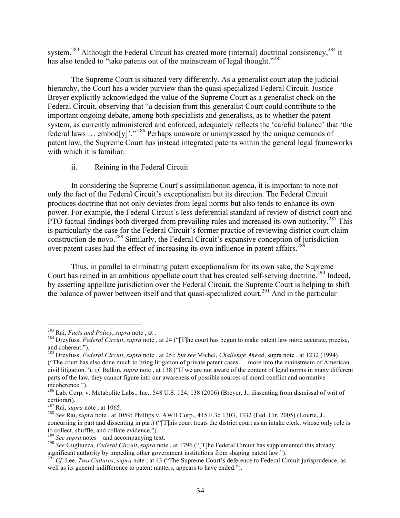system.<sup>283</sup> Although the Federal Circuit has created more (internal) doctrinal consistency,<sup>284</sup> it has also tended to "take patents out of the mainstream of legal thought."<sup>285</sup>

The Supreme Court is situated very differently. As a generalist court atop the judicial hierarchy, the Court has a wider purview than the quasi-specialized Federal Circuit. Justice Breyer explicitly acknowledged the value of the Supreme Court as a generalist check on the Federal Circuit, observing that "a decision from this generalist Court could contribute to the important ongoing debate, among both specialists and generalists, as to whether the patent system, as currently administered and enforced, adequately reflects the 'careful balance' that 'the federal laws … embod[y]'." <sup>286</sup> Perhaps unaware or unimpressed by the unique demands of patent law, the Supreme Court has instead integrated patents within the general legal frameworks with which it is familiar.

ii. Reining in the Federal Circuit

In considering the Supreme Court's assimilationist agenda, it is important to note not only the fact of the Federal Circuit's exceptionalism but its direction. The Federal Circuit produces doctrine that not only deviates from legal norms but also tends to enhance its own power. For example, the Federal Circuit's less deferential standard of review of district court and PTO factual findings both diverged from prevailing rules and increased its own authority.<sup>287</sup> This is particularly the case for the Federal Circuit's former practice of reviewing district court claim construction de novo.<sup>288</sup> Similarly, the Federal Circuit's expansive conception of jurisdiction over patent cases had the effect of increasing its own influence in patent affairs. $289$ 

Thus, in parallel to eliminating patent exceptionalism for its own sake, the Supreme Court has reined in an ambitious appellate court that has created self-serving doctrine.<sup>290</sup> Indeed, by asserting appellate jurisdiction over the Federal Circuit, the Supreme Court is helping to shift the balance of power between itself and that quasi-specialized court.<sup>291</sup> And in the particular

<sup>&</sup>lt;sup>283</sup> Rai, *Facts and Policy*, *supra* note, at .<br><sup>284</sup> Dreyfuss, *Federal Circuit, supra* note, at 24 ("[T]he court has begun to make patent law more accurate, precise, and coherent."). <sup>285</sup> Dreyfuss, *Federal Circuit*, *supra* note , at 25l; *but see* Michel, *Challenge Ahead*, supra note , at 1232 (1994)

<sup>(&</sup>quot;The court has also done much to bring litigation of private patent cases … more into the mainstream of American civil litigation."); *cf.* Balkin, *supra* note , at 138 ("If we are not aware of the content of legal norms in many different parts of the law, they cannot figure into our awareness of possible sources of moral conflict and normative incoherence.").<br><sup>286</sup> Lab. Corp. v. Metabolite Labs., Inc., 548 U.S. 124, 138 (2006) (Breyer, J., dissenting from dismissal of writ of

certiorari).<br> $287$  Rai, *supra* note, at 1065.

<sup>&</sup>lt;sup>288</sup> See Rai, *supra* note, at 1059; Phillips v. AWH Corp., 415 F.3d 1303, 1332 (Fed. Cir. 2005) (Lourie, J., concurring in part and dissenting in part) ("[T]his court treats the district court as an intake clerk, whose only role is to collect, shuffle, and collate evidence.").<br> $289$  See supra notes – and accompanying text.

<sup>&</sup>lt;sup>290</sup> See Gugliuzza, *Federal Circuit*, *supra* note, at 1796 ("[T]he Federal Circuit has supplemented this already significant authority by impeding other government institutions from shaping patent law.").<br><sup>291</sup> Cf. Lee, *Two Cultures*, *supra* note, at 43 ("The Supreme Court's deference to Federal Circuit jurisprudence, as

well as its general indifference to patent matters, appears to have ended.").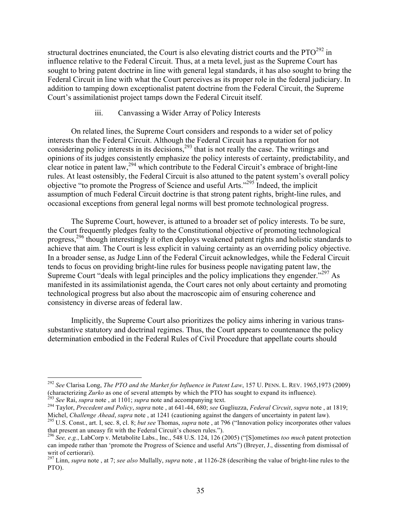structural doctrines enunciated, the Court is also elevating district courts and the  $\text{PTO}^{292}$  in influence relative to the Federal Circuit. Thus, at a meta level, just as the Supreme Court has sought to bring patent doctrine in line with general legal standards, it has also sought to bring the Federal Circuit in line with what the Court perceives as its proper role in the federal judiciary. In addition to tamping down exceptionalist patent doctrine from the Federal Circuit, the Supreme Court's assimilationist project tamps down the Federal Circuit itself.

# iii. Canvassing a Wider Array of Policy Interests

On related lines, the Supreme Court considers and responds to a wider set of policy interests than the Federal Circuit. Although the Federal Circuit has a reputation for not considering policy interests in its decisions,<sup>293</sup> that is not really the case. The writings and opinions of its judges consistently emphasize the policy interests of certainty, predictability, and clear notice in patent law, <sup>294</sup> which contribute to the Federal Circuit's embrace of bright-line rules. At least ostensibly, the Federal Circuit is also attuned to the patent system's overall policy objective "to promote the Progress of Science and useful Arts."295 Indeed, the implicit assumption of much Federal Circuit doctrine is that strong patent rights, bright-line rules, and occasional exceptions from general legal norms will best promote technological progress.

The Supreme Court, however, is attuned to a broader set of policy interests. To be sure, the Court frequently pledges fealty to the Constitutional objective of promoting technological progress,<sup>296</sup> though interestingly it often deploys weakened patent rights and holistic standards to achieve that aim. The Court is less explicit in valuing certainty as an overriding policy objective. In a broader sense, as Judge Linn of the Federal Circuit acknowledges, while the Federal Circuit tends to focus on providing bright-line rules for business people navigating patent law, the Supreme Court "deals with legal principles and the policy implications they engender."<sup>297</sup> As manifested in its assimilationist agenda, the Court cares not only about certainty and promoting technological progress but also about the macroscopic aim of ensuring coherence and consistency in diverse areas of federal law.

Implicitly, the Supreme Court also prioritizes the policy aims inhering in various transsubstantive statutory and doctrinal regimes. Thus, the Court appears to countenance the policy determination embodied in the Federal Rules of Civil Procedure that appellate courts should

 <sup>292</sup> *See* Clarisa Long, *The PTO and the Market for Influence in Patent Law*, 157 U. PENN. L. REV. 1965,1973 (2009)

<sup>(</sup>characterizing Zurko as one of several attempts by which the PTO has sought to expand its influence).<br><sup>293</sup> See Rai, *supra* note, at 1101; *supra* note and accompanying text.<br><sup>294</sup> Taylor, *Precedent and Policy*, *supra* 

<sup>&</sup>lt;sup>295</sup> U.S. Const., art. I, sec. 8, cl. 8; *but see* Thomas, *supra* note, at 796 ("Innovation policy incorporates other values that present an uneasy fit with the Federal Circuit's chosen rules.").

<sup>&</sup>lt;sup>296</sup> See, e.g., LabCorp v. Metabolite Labs., Inc., 548 U.S. 124, 126 (2005) ("[S]ometimes *too much* patent protection can impede rather than 'promote the Progress of Science and useful Arts") (Breyer, J., dissenting from dismissal of writ of certiorari).

<sup>297</sup> Linn, *supra* note , at 7; *see also* Mullally, *supra* note , at 1126-28 (describing the value of bright-line rules to the PTO).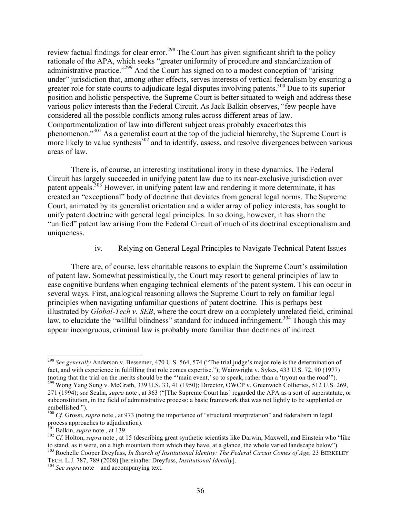review factual findings for clear error.<sup>298</sup> The Court has given significant shrift to the policy rationale of the APA, which seeks "greater uniformity of procedure and standardization of administrative practice."<sup>299</sup> And the Court has signed on to a modest conception of "arising" under" jurisdiction that, among other effects, serves interests of vertical federalism by ensuring a greater role for state courts to adjudicate legal disputes involving patents.<sup>300</sup> Due to its superior position and holistic perspective, the Supreme Court is better situated to weigh and address these various policy interests than the Federal Circuit. As Jack Balkin observes, "few people have considered all the possible conflicts among rules across different areas of law. Compartmentalization of law into different subject areas probably exacerbates this phenomenon."<sup>301</sup> As a generalist court at the top of the judicial hierarchy, the Supreme Court is more likely to value synthesis $302$  and to identify, assess, and resolve divergences between various areas of law.

There is, of course, an interesting institutional irony in these dynamics. The Federal Circuit has largely succeeded in unifying patent law due to its near-exclusive jurisdiction over patent appeals.<sup>303</sup> However, in unifying patent law and rendering it more determinate, it has created an "exceptional" body of doctrine that deviates from general legal norms. The Supreme Court, animated by its generalist orientation and a wider array of policy interests, has sought to unify patent doctrine with general legal principles. In so doing, however, it has shorn the "unified" patent law arising from the Federal Circuit of much of its doctrinal exceptionalism and uniqueness.

iv. Relying on General Legal Principles to Navigate Technical Patent Issues

There are, of course, less charitable reasons to explain the Supreme Court's assimilation of patent law. Somewhat pessimistically, the Court may resort to general principles of law to ease cognitive burdens when engaging technical elements of the patent system. This can occur in several ways. First, analogical reasoning allows the Supreme Court to rely on familiar legal principles when navigating unfamiliar questions of patent doctrine. This is perhaps best illustrated by *Global-Tech v. SEB*, where the court drew on a completely unrelated field, criminal law, to elucidate the "willful blindness" standard for induced infringement.<sup>304</sup> Though this may appear incongruous, criminal law is probably more familiar than doctrines of indirect

 <sup>298</sup> *See generally* Anderson v. Bessemer, 470 U.S. 564, 574 ("The trial judge's major role is the determination of fact, and with experience in fulfilling that role comes expertise."); Wainwright v. Sykes, 433 U.S. 72, 90 (1977) (noting that the trial on the merits should be the "'main event,' so to speak, rather than a 'tryout on the road'").

 $^{299}$  Wong Yang Sung v. McGrath, 339 U.S. 33, 41 (1950); Director, OWCP v. Greenwich Collieries, 512 U.S. 269, 271 (1994); *see* Scalia, *supra* note , at 363 ("[The Supreme Court has] regarded the APA as a sort of superstatute, or subconstitution, in the field of administrative process: a basic framework that was not lightly to be supplanted or

embellished.").<br><sup>300</sup> *Cf.* Grossi, *supra* note, at 973 (noting the importance of "structural interpretation" and federalism in legal process approaches to adjudication).<br><sup>301</sup> Balkin, *supra* note , at 139.

<sup>&</sup>lt;sup>302</sup> *Cf.* Holton, *supra* note , at 15 (describing great synthetic scientists like Darwin, Maxwell, and Einstein who "like to stand, as it were, on a high mountain from which they have, at a glance, the whole varied landscape below"). <sup>303</sup> Rochelle Cooper Dreyfuss, *In Search of Institutional Identity: The Federal Circuit Comes of Age*, 23 BERKELEY

TECH. L.J. 787, 789 (2008) [hereinafter Dreyfuss, *Institutional Identity*]. <sup>304</sup> *See supra* note – and accompanying text.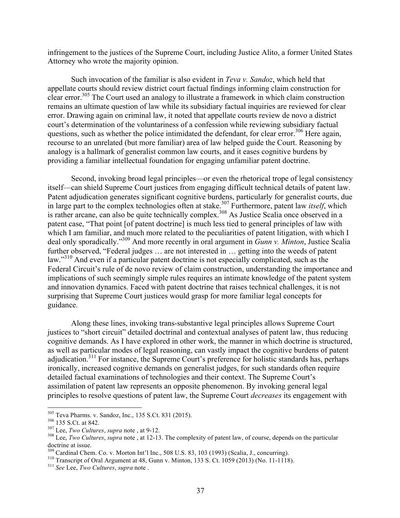infringement to the justices of the Supreme Court, including Justice Alito, a former United States Attorney who wrote the majority opinion.

Such invocation of the familiar is also evident in *Teva v. Sandoz*, which held that appellate courts should review district court factual findings informing claim construction for clear error.<sup>305</sup> The Court used an analogy to illustrate a framework in which claim construction remains an ultimate question of law while its subsidiary factual inquiries are reviewed for clear error. Drawing again on criminal law, it noted that appellate courts review de novo a district court's determination of the voluntariness of a confession while reviewing subsidiary factual questions, such as whether the police intimidated the defendant, for clear error.<sup>306</sup> Here again, recourse to an unrelated (but more familiar) area of law helped guide the Court. Reasoning by analogy is a hallmark of generalist common law courts, and it eases cognitive burdens by providing a familiar intellectual foundation for engaging unfamiliar patent doctrine.

Second, invoking broad legal principles—or even the rhetorical trope of legal consistency itself—can shield Supreme Court justices from engaging difficult technical details of patent law. Patent adjudication generates significant cognitive burdens, particularly for generalist courts, due in large part to the complex technologies often at stake.<sup>307</sup> Furthermore, patent law *itself*, which is rather arcane, can also be quite technically complex.<sup>308</sup> As Justice Scalia once observed in a patent case, "That point [of patent doctrine] is much less tied to general principles of law with which I am familiar, and much more related to the peculiarities of patent litigation, with which I deal only sporadically."309 And more recently in oral argument in *Gunn v. Minton*, Justice Scalia further observed, "Federal judges … are not interested in … getting into the weeds of patent law."<sup>310</sup> And even if a particular patent doctrine is not especially complicated, such as the Federal Circuit's rule of de novo review of claim construction, understanding the importance and implications of such seemingly simple rules requires an intimate knowledge of the patent system and innovation dynamics. Faced with patent doctrine that raises technical challenges, it is not surprising that Supreme Court justices would grasp for more familiar legal concepts for guidance.

Along these lines, invoking trans-substantive legal principles allows Supreme Court justices to "short circuit" detailed doctrinal and contextual analyses of patent law, thus reducing cognitive demands. As I have explored in other work, the manner in which doctrine is structured, as well as particular modes of legal reasoning, can vastly impact the cognitive burdens of patent adjudication.<sup>311</sup> For instance, the Supreme Court's preference for holistic standards has, perhaps ironically, increased cognitive demands on generalist judges, for such standards often require detailed factual examinations of technologies and their context. The Supreme Court's assimilation of patent law represents an opposite phenomenon. By invoking general legal principles to resolve questions of patent law, the Supreme Court *decreases* its engagement with

<sup>&</sup>lt;sup>305</sup> Teva Pharms. v. Sandoz, Inc., 135 S.Ct. 831 (2015).<br><sup>306</sup> 135 S.Ct. at 842.<br><sup>307</sup> Lee, *Two Cultures*, *supra* note , at 9-12.<br><sup>308</sup> Lee, *Two Cultures*, *supra* note , at 12-13. The complexity of patent law, of cou doctrine at issue.<br><sup>309</sup> Cardinal Chem. Co. v. Morton Int'l Inc., 508 U.S. 83, 103 (1993) (Scalia, J., concurring).

<sup>&</sup>lt;sup>310</sup> Transcript of Oral Argument at 48, Gunn v. Minton, 133 S. Ct. 1059 (2013) (No. 11-1118).<br><sup>311</sup> See Lee. *Two Cultures*, *supra* note.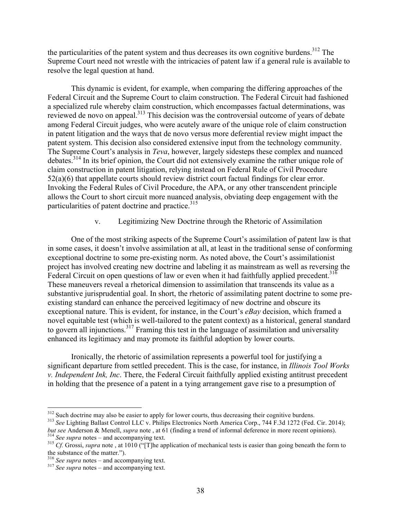the particularities of the patent system and thus decreases its own cognitive burdens.<sup>312</sup> The Supreme Court need not wrestle with the intricacies of patent law if a general rule is available to resolve the legal question at hand.

This dynamic is evident, for example, when comparing the differing approaches of the Federal Circuit and the Supreme Court to claim construction. The Federal Circuit had fashioned a specialized rule whereby claim construction, which encompasses factual determinations, was reviewed de novo on appeal.<sup>313</sup> This decision was the controversial outcome of years of debate among Federal Circuit judges, who were acutely aware of the unique role of claim construction in patent litigation and the ways that de novo versus more deferential review might impact the patent system. This decision also considered extensive input from the technology community. The Supreme Court's analysis in *Teva*, however, largely sidesteps these complex and nuanced debates.314 In its brief opinion, the Court did not extensively examine the rather unique role of claim construction in patent litigation, relying instead on Federal Rule of Civil Procedure 52(a)(6) that appellate courts should review district court factual findings for clear error. Invoking the Federal Rules of Civil Procedure, the APA, or any other transcendent principle allows the Court to short circuit more nuanced analysis, obviating deep engagement with the particularities of patent doctrine and practice.<sup>315</sup>

# v. Legitimizing New Doctrine through the Rhetoric of Assimilation

One of the most striking aspects of the Supreme Court's assimilation of patent law is that in some cases, it doesn't involve assimilation at all, at least in the traditional sense of conforming exceptional doctrine to some pre-existing norm. As noted above, the Court's assimilationist project has involved creating new doctrine and labeling it as mainstream as well as reversing the Federal Circuit on open questions of law or even when it had faithfully applied precedent.<sup>316</sup> These maneuvers reveal a rhetorical dimension to assimilation that transcends its value as a substantive jurisprudential goal. In short, the rhetoric of assimilating patent doctrine to some preexisting standard can enhance the perceived legitimacy of new doctrine and obscure its exceptional nature. This is evident, for instance, in the Court's *eBay* decision, which framed a novel equitable test (which is well-tailored to the patent context) as a historical, general standard to govern all injunctions.<sup>317</sup> Framing this test in the language of assimilation and universality enhanced its legitimacy and may promote its faithful adoption by lower courts.

Ironically, the rhetoric of assimilation represents a powerful tool for justifying a significant departure from settled precedent. This is the case, for instance, in *Illinois Tool Works v. Independent Ink, Inc*. There, the Federal Circuit faithfully applied existing antitrust precedent in holding that the presence of a patent in a tying arrangement gave rise to a presumption of

<sup>&</sup>lt;sup>312</sup> Such doctrine may also be easier to apply for lower courts, thus decreasing their cognitive burdens.<br><sup>313</sup> *See* Lighting Ballast Control LLC v. Philips Electronics North America Corp., 744 F.3d 1272 (Fed. Cir. 2014) but see Anderson & Menell, *supra* note, at 61 (finding a trend of informal deference in more recent opinions).<br><sup>314</sup> See supra notes – and accompanying text.<br><sup>315</sup> Cf. Grossi, *supra* note, at 1010 ("[T]he application of

the substance of the matter.").<br> $\frac{316}{3}$  See supra notes – and accompanying text.

<sup>&</sup>lt;sup>317</sup> *See supra* notes – and accompanying text.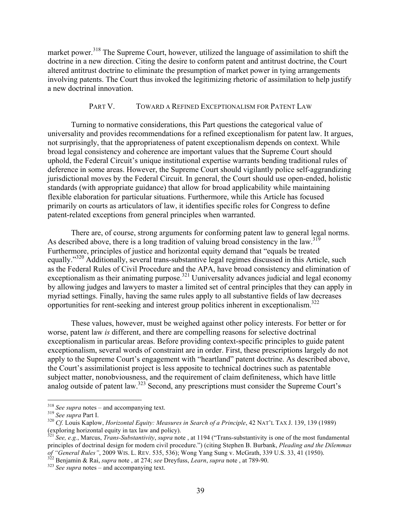market power.<sup>318</sup> The Supreme Court, however, utilized the language of assimilation to shift the doctrine in a new direction. Citing the desire to conform patent and antitrust doctrine, the Court altered antitrust doctrine to eliminate the presumption of market power in tying arrangements involving patents. The Court thus invoked the legitimizing rhetoric of assimilation to help justify a new doctrinal innovation.

#### PART V. TOWARD A REFINED EXCEPTIONALISM FOR PATENT LAW

Turning to normative considerations, this Part questions the categorical value of universality and provides recommendations for a refined exceptionalism for patent law. It argues, not surprisingly, that the appropriateness of patent exceptionalism depends on context. While broad legal consistency and coherence are important values that the Supreme Court should uphold, the Federal Circuit's unique institutional expertise warrants bending traditional rules of deference in some areas. However, the Supreme Court should vigilantly police self-aggrandizing jurisdictional moves by the Federal Circuit. In general, the Court should use open-ended, holistic standards (with appropriate guidance) that allow for broad applicability while maintaining flexible elaboration for particular situations. Furthermore, while this Article has focused primarily on courts as articulators of law, it identifies specific roles for Congress to define patent-related exceptions from general principles when warranted.

There are, of course, strong arguments for conforming patent law to general legal norms. As described above, there is a long tradition of valuing broad consistency in the law.<sup>319</sup> Furthermore, principles of justice and horizontal equity demand that "equals be treated equally."<sup>320</sup> Additionally, several trans-substantive legal regimes discussed in this Article, such as the Federal Rules of Civil Procedure and the APA, have broad consistency and elimination of exceptionalism as their animating purpose.<sup>321</sup> Uuniversality advances judicial and legal economy by allowing judges and lawyers to master a limited set of central principles that they can apply in myriad settings. Finally, having the same rules apply to all substantive fields of law decreases opportunities for rent-seeking and interest group politics inherent in exceptionalism. 322

These values, however, must be weighed against other policy interests. For better or for worse, patent law *is* different, and there are compelling reasons for selective doctrinal exceptionalism in particular areas. Before providing context-specific principles to guide patent exceptionalism, several words of constraint are in order. First, these prescriptions largely do not apply to the Supreme Court's engagement with "heartland" patent doctrine. As described above, the Court's assimilationist project is less apposite to technical doctrines such as patentable subject matter, nonobviousness, and the requirement of claim definiteness, which have little analog outside of patent law.323 Second, any prescriptions must consider the Supreme Court's

<sup>&</sup>lt;sup>318</sup> *See supra* notes – and accompanying text.<br><sup>319</sup> *See supra* Part I.<br><sup>320</sup> *Cf.* Louis Kaplow, *Horizontal Equity: Measures in Search of a Principle*, 42 NAT'L TAX J. 139, 139 (1989) (exploring horizontal equity in tax law and policy).

<sup>321</sup> *See, e.g.*, Marcus, *Trans-Substantivity*, *supra* note , at 1194 ("Trans-substantivity is one of the most fundamental principles of doctrinal design for modern civil procedure.") (citing Stephen B. Burbank, *Pleading and the Dilemmas*  of "General Rules", 2009 WIS. L. REV. 535, 536); Wong Yang Sung v. McGrath, 339 U.S. 33, 41 (1950).<br><sup>322</sup> Benjamin & Rai, *supra* note, at 274; *see* Dreyfuss, *Learn*, *supra* note, at 789-90.<br><sup>323</sup> See supra notes – and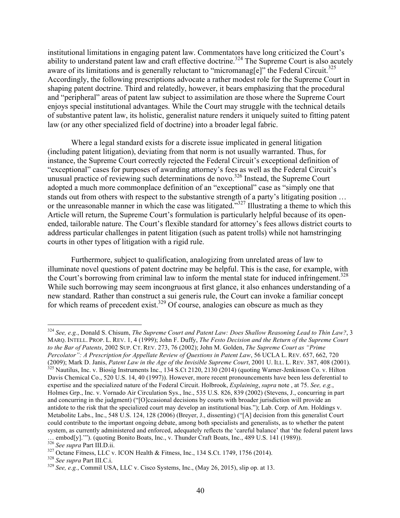institutional limitations in engaging patent law. Commentators have long criticized the Court's ability to understand patent law and craft effective doctrine.<sup>324</sup> The Supreme Court is also acutely aware of its limitations and is generally reluctant to "micromanag[e]" the Federal Circuit.<sup>325</sup> Accordingly, the following prescriptions advocate a rather modest role for the Supreme Court in shaping patent doctrine. Third and relatedly, however, it bears emphasizing that the procedural and "peripheral" areas of patent law subject to assimilation are those where the Supreme Court enjoys special institutional advantages. While the Court may struggle with the technical details of substantive patent law, its holistic, generalist nature renders it uniquely suited to fitting patent law (or any other specialized field of doctrine) into a broader legal fabric.

Where a legal standard exists for a discrete issue implicated in general litigation (including patent litigation), deviating from that norm is not usually warranted. Thus, for instance, the Supreme Court correctly rejected the Federal Circuit's exceptional definition of "exceptional" cases for purposes of awarding attorney's fees as well as the Federal Circuit's unusual practice of reviewing such determinations de novo.<sup>326</sup> Instead, the Supreme Court adopted a much more commonplace definition of an "exceptional" case as "simply one that stands out from others with respect to the substantive strength of a party's litigating position … or the unreasonable manner in which the case was litigated."327 Illustrating a theme to which this Article will return, the Supreme Court's formulation is particularly helpful because of its openended, tailorable nature. The Court's flexible standard for attorney's fees allows district courts to address particular challenges in patent litigation (such as patent trolls) while not hamstringing courts in other types of litigation with a rigid rule.

Furthermore, subject to qualification, analogizing from unrelated areas of law to illuminate novel questions of patent doctrine may be helpful. This is the case, for example, with the Court's borrowing from criminal law to inform the mental state for induced infringement.<sup>328</sup> While such borrowing may seem incongruous at first glance, it also enhances understanding of a new standard. Rather than construct a sui generis rule, the Court can invoke a familiar concept for which reams of precedent exist.<sup>329</sup> Of course, analogies can obscure as much as they

 <sup>324</sup> *See, e.g.*, Donald S. Chisum, *The Supreme Court and Patent Law: Does Shallow Reasoning Lead to Thin Law?*, <sup>3</sup> MARQ. INTELL. PROP. L. REV. 1, 4 (1999); John F. Duffy, *The Festo Decision and the Return of the Supreme Court to the Bar of Patents*, 2002 SUP. CT. REV. 273, 76 (2002); John M. Golden, *The Supreme Court as "Prime Percolator": A Prescription for Appellate Review of Questions in Patent Law*, 56 UCLA L. REV. 657, 662, 720 (2009); Mark D. Janis, Patent Law in the Age of the Invisible Supreme Court, 2001 U. ILL. L. REV. 387, 408 (2001).<br><sup>325</sup> Nautilus, Inc. v. Biosig Instruments Inc., 134 S.Ct 2120, 2130 (2014) (quoting Warner-Jenkinson Co. v Davis Chemical Co., 520 U.S. 14, 40 (1997)). However, more recent pronouncements have been less deferential to expertise and the specialized nature of the Federal Circuit. Holbrook, *Explaining*, *supra* note , at 75. *See, e.g.*, Holmes Grp., Inc. v. Vornado Air Circulation Sys., Inc., 535 U.S. 826, 839 (2002) (Stevens, J., concurring in part and concurring in the judgment) ("[O]ccasional decisions by courts with broader jurisdiction will provide an antidote to the risk that the specialized court may develop an institutional bias."); Lab. Corp. of Am. Holdings v. Metabolite Labs., Inc., 548 U.S. 124, 128 (2006) (Breyer, J., dissenting) ("[A] decision from this generalist Court could contribute to the important ongoing debate, among both specialists and generalists, as to whether the patent system, as currently administered and enforced, adequately reflects the 'careful balance' that 'the federal patent laws ... embod[y].'"). (quoting Bonito Boats, Inc., v. Thunder Craft Boats, Inc., 489 U.S. 141 (1989)).<br><sup>326</sup> See supra Part III.D.ii.

<sup>&</sup>lt;sup>327</sup> Octane Fitness, LLC v. ICON Health & Fitness, Inc., 134 S.Ct. 1749, 1756 (2014).<br><sup>328</sup> See supra Part III.C.i.<br><sup>329</sup> See, e.g., Commil USA, LLC v. Cisco Systems, Inc., (May 26, 2015), slip op. at 13.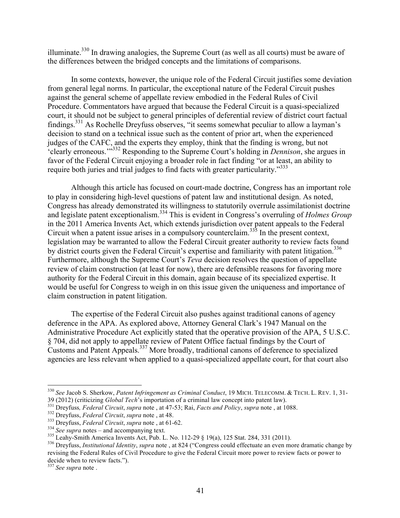illuminate.<sup>330</sup> In drawing analogies, the Supreme Court (as well as all courts) must be aware of the differences between the bridged concepts and the limitations of comparisons.

In some contexts, however, the unique role of the Federal Circuit justifies some deviation from general legal norms. In particular, the exceptional nature of the Federal Circuit pushes against the general scheme of appellate review embodied in the Federal Rules of Civil Procedure. Commentators have argued that because the Federal Circuit is a quasi-specialized court, it should not be subject to general principles of deferential review of district court factual findings.<sup>331</sup> As Rochelle Dreyfuss observes, "it seems somewhat peculiar to allow a layman's decision to stand on a technical issue such as the content of prior art, when the experienced judges of the CAFC, and the experts they employ, think that the finding is wrong, but not 'clearly erroneous.'"<sup>332</sup> Responding to the Supreme Court's holding in *Dennison*, she argues in favor of the Federal Circuit enjoying a broader role in fact finding "or at least, an ability to require both juries and trial judges to find facts with greater particularity."<sup>333</sup>

Although this article has focused on court-made doctrine, Congress has an important role to play in considering high-level questions of patent law and institutional design. As noted, Congress has already demonstrated its willingness to statutorily overrule assimilationist doctrine and legislate patent exceptionalism.<sup>334</sup> This is evident in Congress's overruling of *Holmes Group* in the 2011 America Invents Act, which extends jurisdiction over patent appeals to the Federal Circuit when a patent issue arises in a compulsory counterclaim.<sup>335</sup> In the present context, legislation may be warranted to allow the Federal Circuit greater authority to review facts found by district courts given the Federal Circuit's expertise and familiarity with patent litigation.<sup>336</sup> Furthermore, although the Supreme Court's *Teva* decision resolves the question of appellate review of claim construction (at least for now), there are defensible reasons for favoring more authority for the Federal Circuit in this domain, again because of its specialized expertise. It would be useful for Congress to weigh in on this issue given the uniqueness and importance of claim construction in patent litigation.

The expertise of the Federal Circuit also pushes against traditional canons of agency deference in the APA. As explored above, Attorney General Clark's 1947 Manual on the Administrative Procedure Act explicitly stated that the operative provision of the APA, 5 U.S.C. § 704, did not apply to appellate review of Patent Office factual findings by the Court of Customs and Patent Appeals. <sup>337</sup> More broadly, traditional canons of deference to specialized agencies are less relevant when applied to a quasi-specialized appellate court, for that court also

<sup>&</sup>lt;sup>330</sup> *See* Jacob S. Sherkow, *Patent Infringement as Criminal Conduct*, 19 MICH. TELECOMM. & TECH. L. REV. 1, 31-<br>39 (2012) (criticizing *Global Tech*'s importation of a criminal law concept into patent law).

<sup>&</sup>lt;sup>331</sup> Dreyfuss, *Federal Circuit*, *supra* note, at 47-53; Rai, *Facts and Policy*, *supra* note, at 1088.<br><sup>332</sup> Dreyfuss, *Federal Circuit*, *supra* note, at 48.<br><sup>333</sup> Dreyfuss, *Federal Circuit*, *supra* note, at 61-62.

revising the Federal Rules of Civil Procedure to give the Federal Circuit more power to review facts or power to decide when to review facts."). <sup>337</sup> *See supra* note .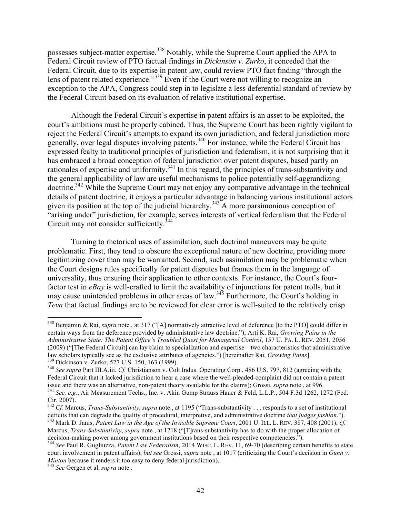possesses subject-matter expertise.<sup>338</sup> Notably, while the Supreme Court applied the APA to Federal Circuit review of PTO factual findings in *Dickinson v. Zurko*, it conceded that the Federal Circuit, due to its expertise in patent law, could review PTO fact finding "through the lens of patent related experience."<sup>339</sup> Even if the Court were not willing to recognize an exception to the APA, Congress could step in to legislate a less deferential standard of review by the Federal Circuit based on its evaluation of relative institutional expertise.

Although the Federal Circuit's expertise in patent affairs is an asset to be exploited, the court's ambitions must be properly cabined. Thus, the Supreme Court has been rightly vigilant to reject the Federal Circuit's attempts to expand its own jurisdiction, and federal jurisdiction more generally, over legal disputes involving patents.<sup>340</sup> For instance, while the Federal Circuit has expressed fealty to traditional principles of jurisdiction and federalism, it is not surprising that it has embraced a broad conception of federal jurisdiction over patent disputes, based partly on rationales of expertise and uniformity.<sup>341</sup> In this regard, the principles of trans-substantivity and the general applicability of law are useful mechanisms to police potentially self-aggrandizing doctrine. <sup>342</sup> While the Supreme Court may not enjoy any comparative advantage in the technical details of patent doctrine, it enjoys a particular advantage in balancing various institutional actors given its position at the top of the judicial hierarchy.<sup>343</sup> A more parsimonious conception of "arising under" jurisdiction, for example, serves interests of vertical federalism that the Federal Circuit may not consider sufficiently.<sup>344</sup>

Turning to rhetorical uses of assimilation, such doctrinal maneuvers may be quite problematic. First, they tend to obscure the exceptional nature of new doctrine, providing more legitimizing cover than may be warranted. Second, such assimilation may be problematic when the Court designs rules specifically for patent disputes but frames them in the language of universality, thus ensuring their application to other contexts. For instance, the Court's fourfactor test in *eBay* is well-crafted to limit the availability of injunctions for patent trolls, but it may cause unintended problems in other areas of law.<sup>345</sup> Furthermore, the Court's holding in *Teva* that factual findings are to be reviewed for clear error is well-suited to the relatively crisp

 <sup>338</sup> Benjamin & Rai, *supra* note , at 317 ("[A] normatively attractive level of deference [to the PTO] could differ in certain ways from the deference provided by administrative law doctrine."); Arti K. Rai, *Growing Pains in the Administrative State: The Patent Office's Troubled Quest for Managerial Control*, 157 U. PA. L. REV. 2051, 2056 (2009) ("[The Federal Circuit] can lay claim to specialization and expertise—two characteristics that administrative law scholars typically see as the exclusive attributes of agencies.") [hereinafter Rai, *Growing Pains*].<br><sup>339</sup> Dickinson v. Zurko, 527 U.S. 150, 163 (1999).<br><sup>340</sup> See supra Part III.A.iii. Cf. Christianson v. Colt Indus.

Federal Circuit that it lacked jurisdiction to hear a case where the well-pleaded-complaint did not contain a patent issue and there was an alternative, non-patent theory available for the claims); Grossi, *supra* note, at  $341$  See, e.g., Air Measurement Techs., Inc. v. Akin Gump Strauss Hauer & Feld, L.L.P., 504 F.3d 1262, 1272 (Fed.

Cir. 2007).<br><sup>342</sup> *Cf.* Marcus, *Trans-Substantivity*, *supra* note, at 1195 ("Trans-substantivity . . . responds to a set of institutional deficits that can degrade the quality of procedural, interpretive, and administrat  $^{343}$  Mark D. Janis, Patent Law in the Age of the Invisible Supreme Court, 2001 U. ILL. L. REV. 387, 408 (2001); cf.

Marcus, *Trans-Substantivity*, *supra* note, at 1218 ("[T]rans-substantivity has to do with the proper allocation of decision-making power among government institutions based on their respective competencies.").

<sup>&</sup>lt;sup>344</sup> See Paul R. Gugliuzza, Patent Law Federalism, 2014 WISC. L. REV. 11, 69-70 (describing certain benefits to state court involvement in patent affairs); *but see* Grossi, *supra* note , at 1017 (criticizing the Court's decision in *Gunn v. Minton* because it renders it too easy to deny federal jurisdiction). <sup>345</sup> *See* Gergen et al, *supra* note .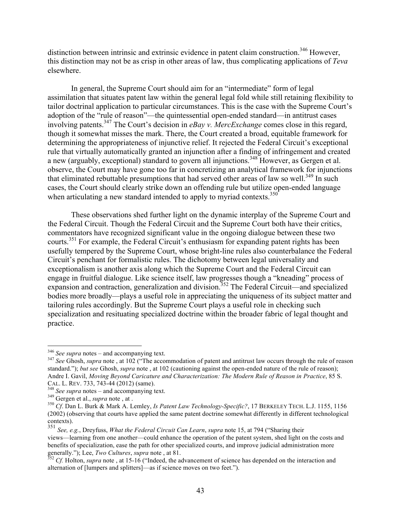distinction between intrinsic and extrinsic evidence in patent claim construction.<sup>346</sup> However, this distinction may not be as crisp in other areas of law, thus complicating applications of *Teva* elsewhere.

In general, the Supreme Court should aim for an "intermediate" form of legal assimilation that situates patent law within the general legal fold while still retaining flexibility to tailor doctrinal application to particular circumstances. This is the case with the Supreme Court's adoption of the "rule of reason"—the quintessential open-ended standard—in antitrust cases involving patents. <sup>347</sup> The Court's decision in *eBay v. MercExchange* comes close in this regard, though it somewhat misses the mark. There, the Court created a broad, equitable framework for determining the appropriateness of injunctive relief. It rejected the Federal Circuit's exceptional rule that virtually automatically granted an injunction after a finding of infringement and created a new (arguably, exceptional) standard to govern all injunctions.<sup>348</sup> However, as Gergen et al. observe, the Court may have gone too far in concretizing an analytical framework for injunctions that eliminated rebuttable presumptions that had served other areas of law so well.<sup>349</sup> In such cases, the Court should clearly strike down an offending rule but utilize open-ended language when articulating a new standard intended to apply to myriad contexts.<sup>350</sup>

These observations shed further light on the dynamic interplay of the Supreme Court and the Federal Circuit. Though the Federal Circuit and the Supreme Court both have their critics, commentators have recognized significant value in the ongoing dialogue between these two courts.<sup>351</sup> For example, the Federal Circuit's enthusiasm for expanding patent rights has been usefully tempered by the Supreme Court, whose bright-line rules also counterbalance the Federal Circuit's penchant for formalistic rules. The dichotomy between legal universality and exceptionalism is another axis along which the Supreme Court and the Federal Circuit can engage in fruitful dialogue. Like science itself, law progresses though a "kneading" process of expansion and contraction, generalization and division.<sup>352</sup> The Federal Circuit—and specialized bodies more broadly—plays a useful role in appreciating the uniqueness of its subject matter and tailoring rules accordingly. But the Supreme Court plays a useful role in checking such specialization and resituating specialized doctrine within the broader fabric of legal thought and practice.

<sup>346</sup> *See supra* notes – and accompanying text. <sup>347</sup> *See* Ghosh, *supra* note , at 102 ("The accommodation of patent and antitrust law occurs through the rule of reason standard."); *but see* Ghosh, *supra* note , at 102 (cautioning against the open-ended nature of the rule of reason); Andre I. Gavil, *Moving Beyond Caricature and Characterization: The Modern Rule of Reason in Practice*, 85 S.

CAL. L. REV. 733, 743-44 (2012) (same).<br>
<sup>348</sup> See supra notes – and accompanying text.<br>
<sup>349</sup> Gergen et al., *supra* note, at .<br>
<sup>350</sup> Cf. Dan L. Burk & Mark A. Lemley, *Is Patent Law Technology-Specific?*, 17 BERKELEY TE (2002) (observing that courts have applied the same patent doctrine somewhat differently in different technological contexts).

<sup>351</sup> *See, e.g.*, Dreyfuss, *What the Federal Circuit Can Learn*, *supra* note 15, at 794 ("Sharing their views—learning from one another—could enhance the operation of the patent system, shed light on the costs and benefits of specialization, ease the path for other specialized courts, and improve judicial administration more generally."); Lee, *Two Cultures*, *supra* note, at 81.<br><sup>352</sup> *Cf.* Holton, *supra* note, at 15-16 ("Indeed, the advancement of science has depended on the interaction and

alternation of [lumpers and splitters]—as if science moves on two feet.").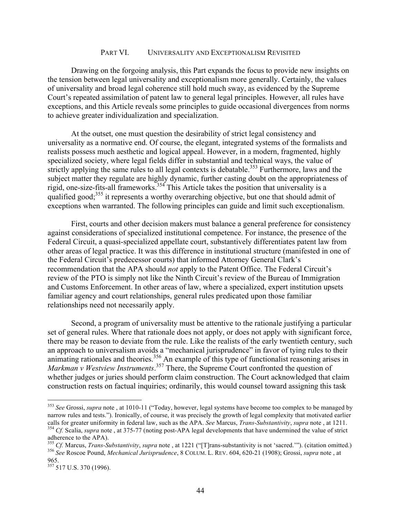### PART VI. UNIVERSALITY AND EXCEPTIONALISM REVISITED

Drawing on the forgoing analysis, this Part expands the focus to provide new insights on the tension between legal universality and exceptionalism more generally. Certainly, the values of universality and broad legal coherence still hold much sway, as evidenced by the Supreme Court's repeated assimilation of patent law to general legal principles. However, all rules have exceptions, and this Article reveals some principles to guide occasional divergences from norms to achieve greater individualization and specialization.

At the outset, one must question the desirability of strict legal consistency and universality as a normative end. Of course, the elegant, integrated systems of the formalists and realists possess much aesthetic and logical appeal. However, in a modern, fragmented, highly specialized society, where legal fields differ in substantial and technical ways, the value of strictly applying the same rules to all legal contexts is debatable.<sup>353</sup> Furthermore, laws and the subject matter they regulate are highly dynamic, further casting doubt on the appropriateness of rigid, one-size-fits-all frameworks.354 This Article takes the position that universality is a qualified good;<sup>355</sup> it represents a worthy overarching objective, but one that should admit of exceptions when warranted. The following principles can guide and limit such exceptionalism.

First, courts and other decision makers must balance a general preference for consistency against considerations of specialized institutional competence. For instance, the presence of the Federal Circuit, a quasi-specialized appellate court, substantively differentiates patent law from other areas of legal practice. It was this difference in institutional structure (manifested in one of the Federal Circuit's predecessor courts) that informed Attorney General Clark's recommendation that the APA should *not* apply to the Patent Office. The Federal Circuit's review of the PTO is simply not like the Ninth Circuit's review of the Bureau of Immigration and Customs Enforcement. In other areas of law, where a specialized, expert institution upsets familiar agency and court relationships, general rules predicated upon those familiar relationships need not necessarily apply.

Second, a program of universality must be attentive to the rationale justifying a particular set of general rules. Where that rationale does not apply, or does not apply with significant force, there may be reason to deviate from the rule. Like the realists of the early twentieth century, such an approach to universalism avoids a "mechanical jurisprudence" in favor of tying rules to their animating rationales and theories.<sup>356</sup> An example of this type of functionalist reasoning arises in Markman v Westview Instruments.<sup>357</sup> There, the Supreme Court confronted the question of whether judges or juries should perform claim construction. The Court acknowledged that claim construction rests on factual inquiries; ordinarily, this would counsel toward assigning this task

 <sup>353</sup> *See* Grossi, *supra* note , at 1010-11 ("Today, however, legal systems have become too complex to be managed by narrow rules and tests."). Ironically, of course, it was precisely the growth of legal complexity that motivated earlier calls for greater uniformity in federal law, such as the APA. See Marcus, Trans-Substantivity, supra note, at 1211.<br><sup>354</sup> Cf. Scalia, supra note, at 375-77 (noting post-APA legal developments that have undermined the value adherence to the APA).<br><sup>355</sup> Cf. Marcus, *Trans-Substantivity*, *supra* note, at 1221 ("[T] rans-substantivity is not 'sacred.""). (citation omitted.)

<sup>356</sup> See Roscoe Pound, Mechanical Jurisprudence, 8 COLUM. L. REV. 604, 620-21 (1908); Grossi, supra note, at

<sup>965.</sup>

<sup>357</sup> 517 U.S. 370 (1996).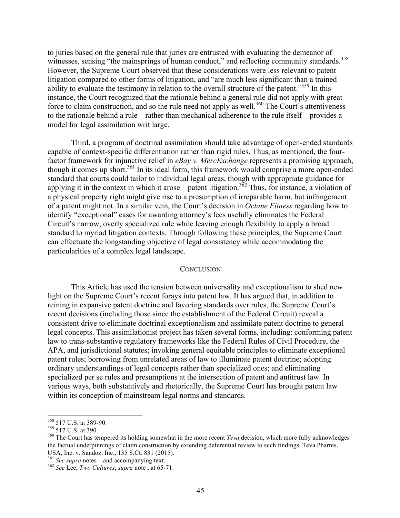to juries based on the general rule that juries are entrusted with evaluating the demeanor of witnesses, sensing "the mainsprings of human conduct," and reflecting community standards.<sup>358</sup> However, the Supreme Court observed that these considerations were less relevant to patent litigation compared to other forms of litigation, and "are much less significant than a trained ability to evaluate the testimony in relation to the overall structure of the patent."<sup>359</sup> In this instance, the Court recognized that the rationale behind a general rule did not apply with great force to claim construction, and so the rule need not apply as well.<sup>360</sup> The Court's attentiveness to the rationale behind a rule—rather than mechanical adherence to the rule itself—provides a model for legal assimilation writ large.

Third, a program of doctrinal assimilation should take advantage of open-ended standards capable of context-specific differentiation rather than rigid rules. Thus, as mentioned, the fourfactor framework for injunctive relief in *eBay v. MercExchange* represents a promising approach, though it comes up short.<sup>361</sup> In its ideal form, this framework would comprise a more open-ended standard that courts could tailor to individual legal areas, though with appropriate guidance for applying it in the context in which it arose—patent litigation.<sup>362</sup> Thus, for instance, a violation of a physical property right might give rise to a presumption of irreparable harm, but infringement of a patent might not. In a similar vein, the Court's decision in *Octane Fitness* regarding how to identify "exceptional" cases for awarding attorney's fees usefully eliminates the Federal Circuit's narrow, overly specialized rule while leaving enough flexibility to apply a broad standard to myriad litigation contexts. Through following these principles, the Supreme Court can effectuate the longstanding objective of legal consistency while accommodating the particularities of a complex legal landscape.

### **CONCLUSION**

This Article has used the tension between universality and exceptionalism to shed new light on the Supreme Court's recent forays into patent law. It has argued that, in addition to reining in expansive patent doctrine and favoring standards over rules, the Supreme Court's recent decisions (including those since the establishment of the Federal Circuit) reveal a consistent drive to eliminate doctrinal exceptionalism and assimilate patent doctrine to general legal concepts. This assimilationist project has taken several forms, including: conforming patent law to trans-substantive regulatory frameworks like the Federal Rules of Civil Procedure, the APA, and jurisdictional statutes; invoking general equitable principles to eliminate exceptional patent rules; borrowing from unrelated areas of law to illuminate patent doctrine; adopting ordinary understandings of legal concepts rather than specialized ones; and eliminating specialized per se rules and presumptions at the intersection of patent and antitrust law. In various ways, both substantively and rhetorically, the Supreme Court has brought patent law within its conception of mainstream legal norms and standards.

<sup>&</sup>lt;sup>358</sup> 517 U.S. at 389-90.<br><sup>359</sup> 517 U.S. at 390.<br><sup>360</sup> The Court has tempered its holding somewhat in the more recent *Teva* decision, which more fully acknowledges the factual underpinnings of claim construction by extending deferential review to such findings. Teva Pharms. USA, Inc. v. Sandoz, Inc., 135 S.Ct. 831 (2015). <sup>361</sup> *See supra* notes – and accompanying text. <sup>362</sup> *See* Lee, *Two Cultures*, *supra* note , at 65-71.